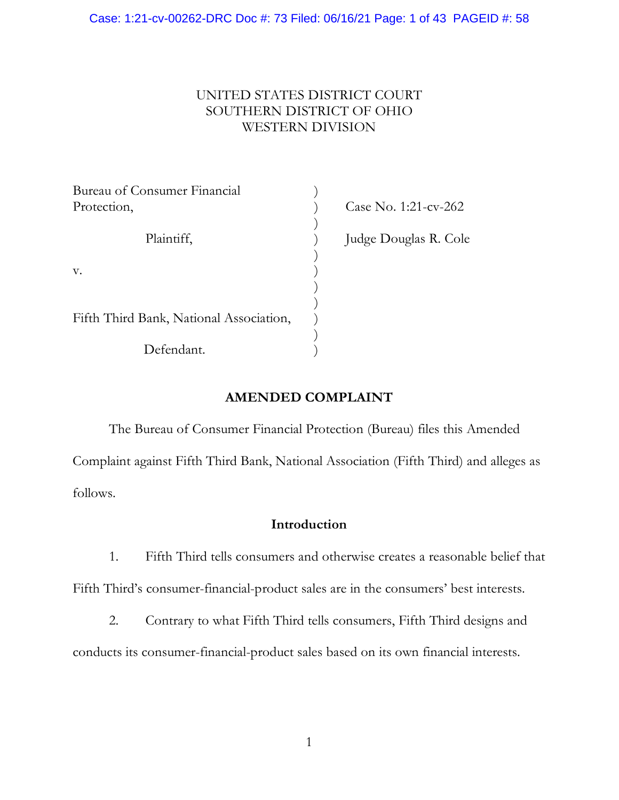# UNITED STATES DISTRICT COURT SOUTHERN DISTRICT OF OHIO WESTERN DIVISION

| Bureau of Consumer Financial            |                       |
|-----------------------------------------|-----------------------|
| Protection,                             | Case No. 1:21-cv-262  |
|                                         |                       |
| Plaintiff,                              | Judge Douglas R. Cole |
|                                         |                       |
| V.                                      |                       |
|                                         |                       |
|                                         |                       |
| Fifth Third Bank, National Association, |                       |
|                                         |                       |
| Defendant.                              |                       |

# **AMENDED COMPLAINT**

The Bureau of Consumer Financial Protection (Bureau) files this Amended Complaint against Fifth Third Bank, National Association (Fifth Third) and alleges as follows.

### **Introduction**

1. Fifth Third tells consumers and otherwise creates a reasonable belief that

Fifth Third's consumer-financial-product sales are in the consumers' best interests.

2. Contrary to what Fifth Third tells consumers, Fifth Third designs and

conducts its consumer-financial-product sales based on its own financial interests.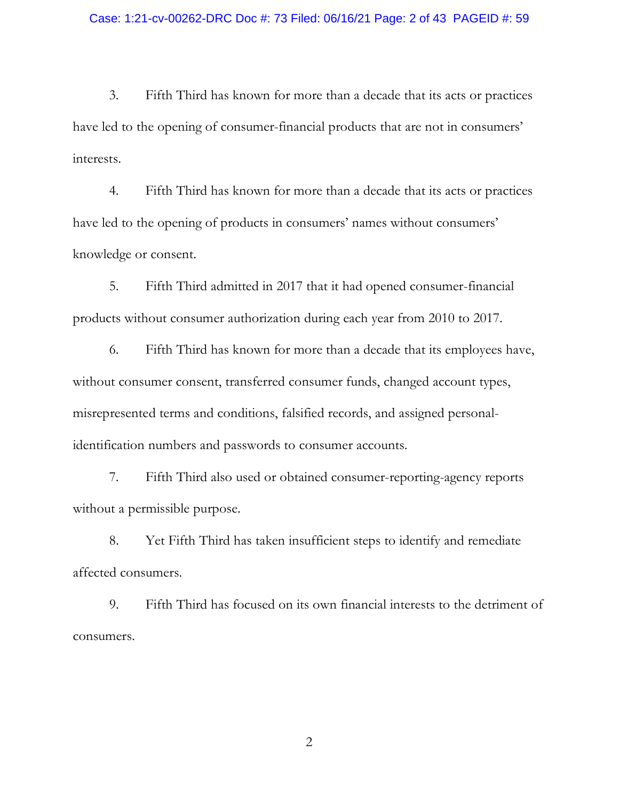3. Fifth Third has known for more than a decade that its acts or practices have led to the opening of consumer-financial products that are not in consumers' interests.

4. Fifth Third has known for more than a decade that its acts or practices have led to the opening of products in consumers' names without consumers' knowledge or consent.

5. Fifth Third admitted in 2017 that it had opened consumer-financial products without consumer authorization during each year from 2010 to 2017.

6. Fifth Third has known for more than a decade that its employees have, without consumer consent, transferred consumer funds, changed account types, misrepresented terms and conditions, falsified records, and assigned personalidentification numbers and passwords to consumer accounts.

7. Fifth Third also used or obtained consumer-reporting-agency reports without a permissible purpose.

8. Yet Fifth Third has taken insufficient steps to identify and remediate affected consumers.

9. Fifth Third has focused on its own financial interests to the detriment of consumers.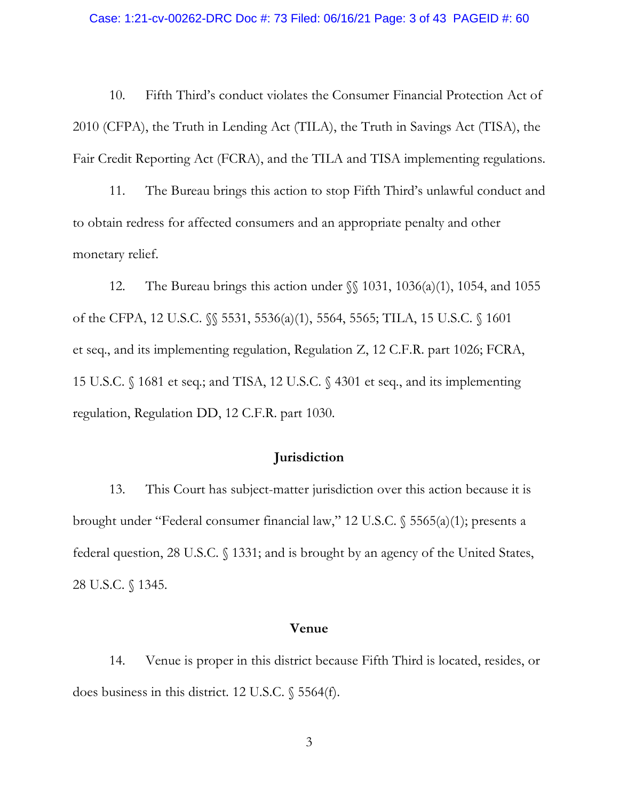#### Case: 1:21-cv-00262-DRC Doc #: 73 Filed: 06/16/21 Page: 3 of 43 PAGEID #: 60

10. Fifth Third's conduct violates the Consumer Financial Protection Act of 2010 (CFPA), the Truth in Lending Act (TILA), the Truth in Savings Act (TISA), the Fair Credit Reporting Act (FCRA), and the TILA and TISA implementing regulations.

11. The Bureau brings this action to stop Fifth Third's unlawful conduct and to obtain redress for affected consumers and an appropriate penalty and other monetary relief.

12. The Bureau brings this action under  $\{\$ 1031, 1036(a)(1), 1054, \text{ and } 1055 \}$ of the CFPA, 12 U.S.C. §§ 5531, 5536(a)(1), 5564, 5565; TILA, 15 U.S.C. § 1601 et seq., and its implementing regulation, Regulation Z, 12 C.F.R. part 1026; FCRA, 15 U.S.C. § 1681 et seq.; and TISA, 12 U.S.C. § 4301 et seq., and its implementing regulation, Regulation DD, 12 C.F.R. part 1030.

### **Jurisdiction**

13. This Court has subject-matter jurisdiction over this action because it is brought under "Federal consumer financial law," 12 U.S.C. § 5565(a)(1); presents a federal question, 28 U.S.C. § 1331; and is brought by an agency of the United States, 28 U.S.C. § 1345.

### **Venue**

14. Venue is proper in this district because Fifth Third is located, resides, or does business in this district. 12 U.S.C. § 5564(f).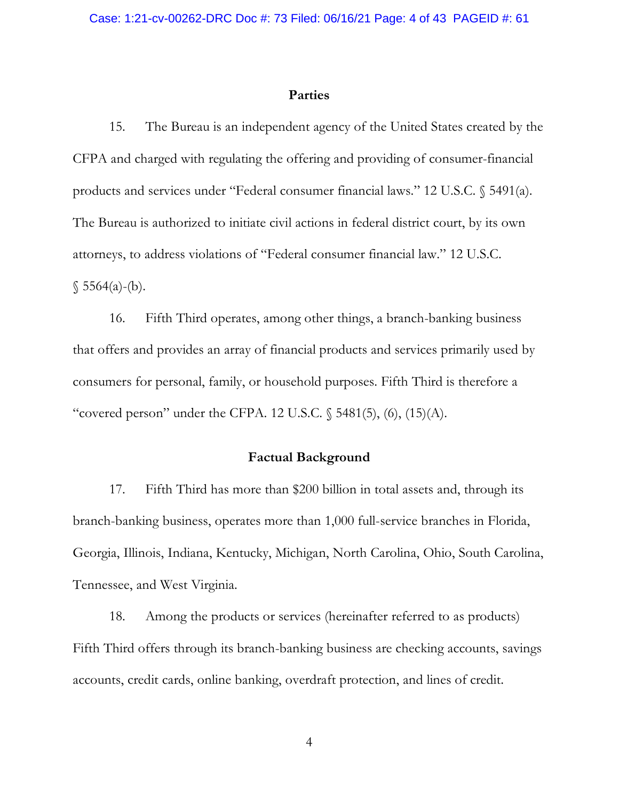### **Parties**

15. The Bureau is an independent agency of the United States created by the CFPA and charged with regulating the offering and providing of consumer-financial products and services under "Federal consumer financial laws." 12 U.S.C. § 5491(a). The Bureau is authorized to initiate civil actions in federal district court, by its own attorneys, to address violations of "Federal consumer financial law." 12 U.S.C.  $$5564(a)-(b).$ 

16. Fifth Third operates, among other things, a branch-banking business that offers and provides an array of financial products and services primarily used by consumers for personal, family, or household purposes. Fifth Third is therefore a "covered person" under the CFPA. 12 U.S.C. § 5481(5), (6), (15)(A).

### **Factual Background**

17. Fifth Third has more than \$200 billion in total assets and, through its branch-banking business, operates more than 1,000 full-service branches in Florida, Georgia, Illinois, Indiana, Kentucky, Michigan, North Carolina, Ohio, South Carolina, Tennessee, and West Virginia.

18. Among the products or services (hereinafter referred to as products) Fifth Third offers through its branch-banking business are checking accounts, savings accounts, credit cards, online banking, overdraft protection, and lines of credit.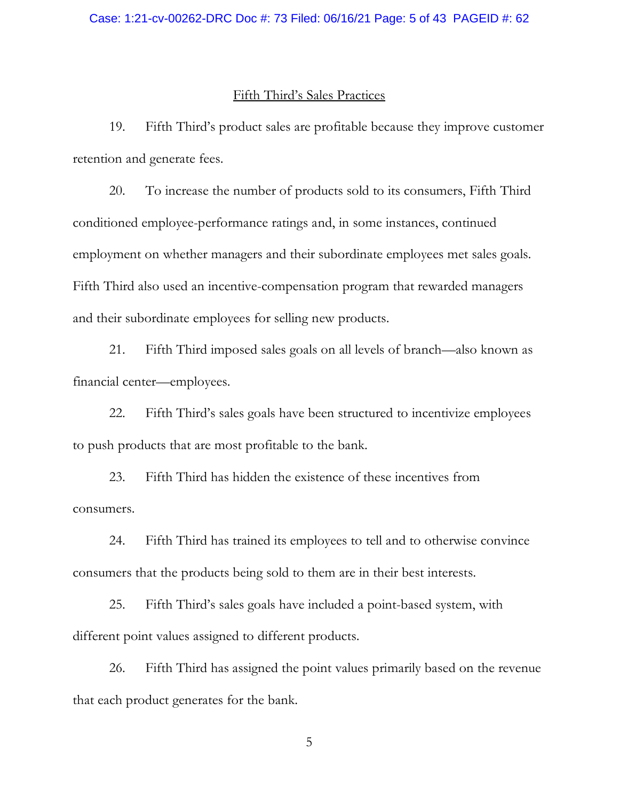### Case: 1:21-cv-00262-DRC Doc #: 73 Filed: 06/16/21 Page: 5 of 43 PAGEID #: 62

### Fifth Third's Sales Practices

19. Fifth Third's product sales are profitable because they improve customer retention and generate fees.

20. To increase the number of products sold to its consumers, Fifth Third conditioned employee-performance ratings and, in some instances, continued employment on whether managers and their subordinate employees met sales goals. Fifth Third also used an incentive-compensation program that rewarded managers and their subordinate employees for selling new products.

21. Fifth Third imposed sales goals on all levels of branch—also known as financial center—employees.

22. Fifth Third's sales goals have been structured to incentivize employees to push products that are most profitable to the bank.

23. Fifth Third has hidden the existence of these incentives from consumers.

24. Fifth Third has trained its employees to tell and to otherwise convince consumers that the products being sold to them are in their best interests.

25. Fifth Third's sales goals have included a point-based system, with different point values assigned to different products.

26. Fifth Third has assigned the point values primarily based on the revenue that each product generates for the bank.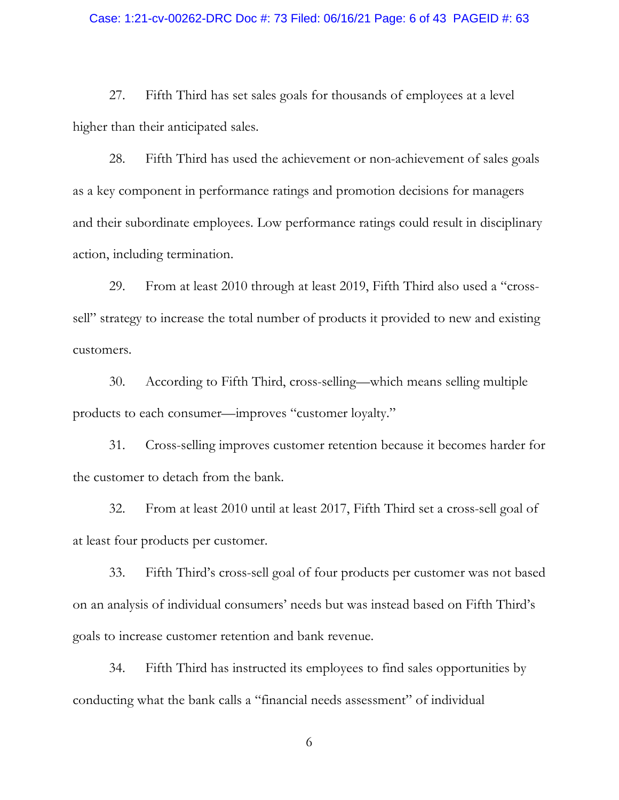### Case: 1:21-cv-00262-DRC Doc #: 73 Filed: 06/16/21 Page: 6 of 43 PAGEID #: 63

27. Fifth Third has set sales goals for thousands of employees at a level higher than their anticipated sales.

28. Fifth Third has used the achievement or non-achievement of sales goals as a key component in performance ratings and promotion decisions for managers and their subordinate employees. Low performance ratings could result in disciplinary action, including termination.

29. From at least 2010 through at least 2019, Fifth Third also used a "crosssell" strategy to increase the total number of products it provided to new and existing customers.

30. According to Fifth Third, cross-selling—which means selling multiple products to each consumer—improves "customer loyalty."

31. Cross-selling improves customer retention because it becomes harder for the customer to detach from the bank.

32. From at least 2010 until at least 2017, Fifth Third set a cross-sell goal of at least four products per customer.

33. Fifth Third's cross-sell goal of four products per customer was not based on an analysis of individual consumers' needs but was instead based on Fifth Third's goals to increase customer retention and bank revenue.

34. Fifth Third has instructed its employees to find sales opportunities by conducting what the bank calls a "financial needs assessment" of individual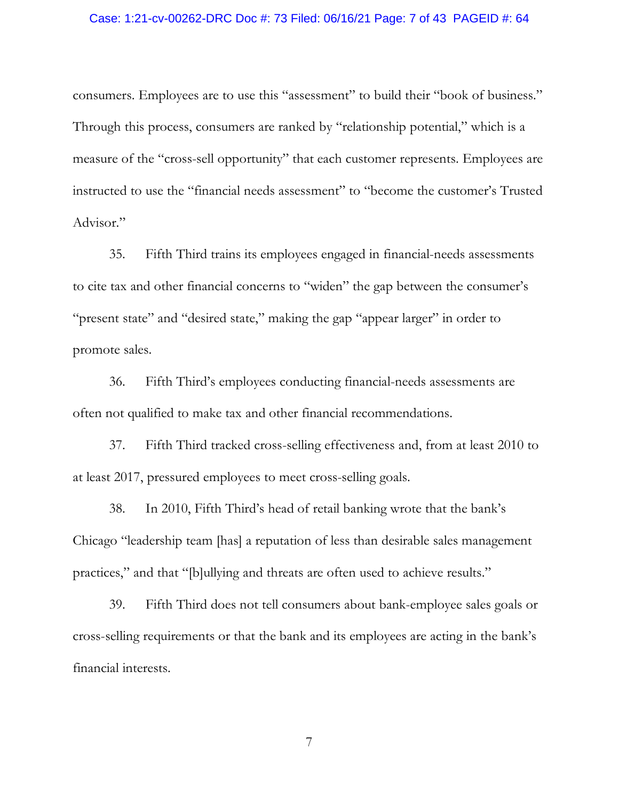### Case: 1:21-cv-00262-DRC Doc #: 73 Filed: 06/16/21 Page: 7 of 43 PAGEID #: 64

consumers. Employees are to use this "assessment" to build their "book of business." Through this process, consumers are ranked by "relationship potential," which is a measure of the "cross-sell opportunity" that each customer represents. Employees are instructed to use the "financial needs assessment" to "become the customer's Trusted Advisor."

35. Fifth Third trains its employees engaged in financial-needs assessments to cite tax and other financial concerns to "widen" the gap between the consumer's "present state" and "desired state," making the gap "appear larger" in order to promote sales.

36. Fifth Third's employees conducting financial-needs assessments are often not qualified to make tax and other financial recommendations.

37. Fifth Third tracked cross-selling effectiveness and, from at least 2010 to at least 2017, pressured employees to meet cross-selling goals.

38. In 2010, Fifth Third's head of retail banking wrote that the bank's Chicago "leadership team [has] a reputation of less than desirable sales management practices," and that "[b]ullying and threats are often used to achieve results."

39. Fifth Third does not tell consumers about bank-employee sales goals or cross-selling requirements or that the bank and its employees are acting in the bank's financial interests.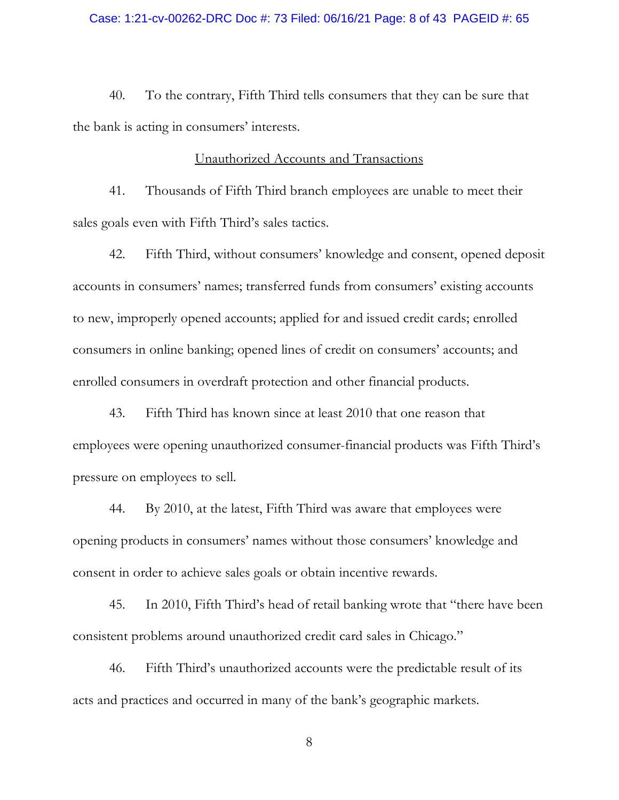### Case: 1:21-cv-00262-DRC Doc #: 73 Filed: 06/16/21 Page: 8 of 43 PAGEID #: 65

40. To the contrary, Fifth Third tells consumers that they can be sure that the bank is acting in consumers' interests.

### Unauthorized Accounts and Transactions

41. Thousands of Fifth Third branch employees are unable to meet their sales goals even with Fifth Third's sales tactics.

42. Fifth Third, without consumers' knowledge and consent, opened deposit accounts in consumers' names; transferred funds from consumers' existing accounts to new, improperly opened accounts; applied for and issued credit cards; enrolled consumers in online banking; opened lines of credit on consumers' accounts; and enrolled consumers in overdraft protection and other financial products.

43. Fifth Third has known since at least 2010 that one reason that employees were opening unauthorized consumer-financial products was Fifth Third's pressure on employees to sell.

44. By 2010, at the latest, Fifth Third was aware that employees were opening products in consumers' names without those consumers' knowledge and consent in order to achieve sales goals or obtain incentive rewards.

45. In 2010, Fifth Third's head of retail banking wrote that "there have been consistent problems around unauthorized credit card sales in Chicago."

46. Fifth Third's unauthorized accounts were the predictable result of its acts and practices and occurred in many of the bank's geographic markets.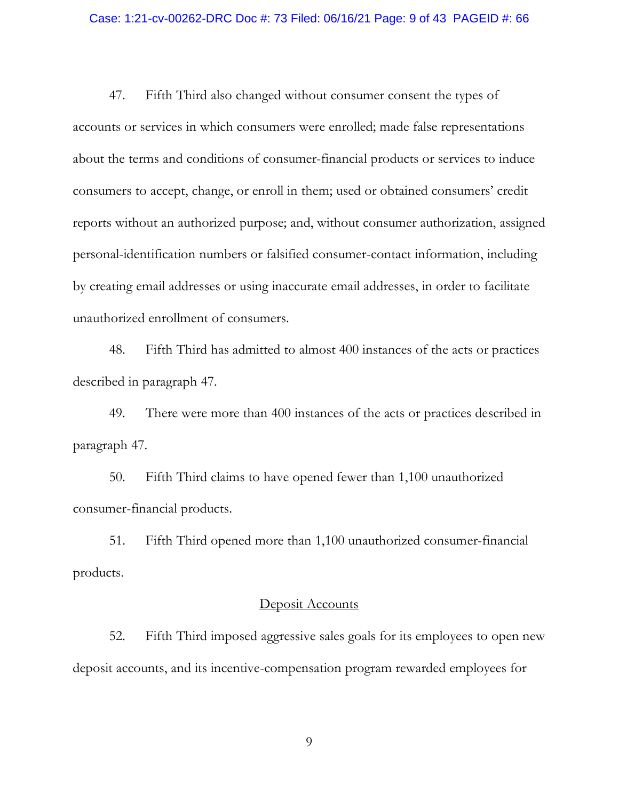#### Case: 1:21-cv-00262-DRC Doc #: 73 Filed: 06/16/21 Page: 9 of 43 PAGEID #: 66

47. Fifth Third also changed without consumer consent the types of accounts or services in which consumers were enrolled; made false representations about the terms and conditions of consumer-financial products or services to induce consumers to accept, change, or enroll in them; used or obtained consumers' credit reports without an authorized purpose; and, without consumer authorization, assigned personal-identification numbers or falsified consumer-contact information, including by creating email addresses or using inaccurate email addresses, in order to facilitate unauthorized enrollment of consumers.

48. Fifth Third has admitted to almost 400 instances of the acts or practices described in paragraph 47.

49. There were more than 400 instances of the acts or practices described in paragraph 47.

50. Fifth Third claims to have opened fewer than 1,100 unauthorized consumer-financial products.

51. Fifth Third opened more than 1,100 unauthorized consumer-financial products.

### Deposit Accounts

52. Fifth Third imposed aggressive sales goals for its employees to open new deposit accounts, and its incentive-compensation program rewarded employees for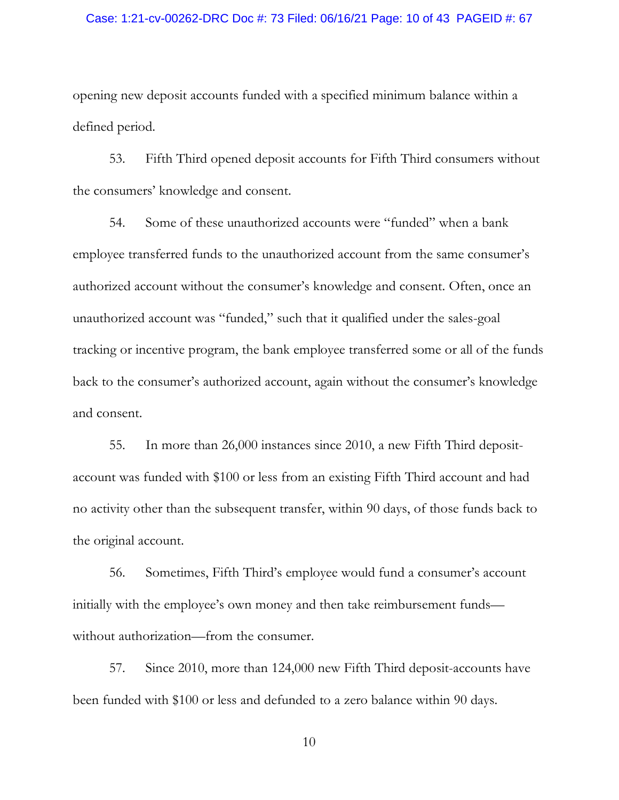### Case: 1:21-cv-00262-DRC Doc #: 73 Filed: 06/16/21 Page: 10 of 43 PAGEID #: 67

opening new deposit accounts funded with a specified minimum balance within a defined period.

53. Fifth Third opened deposit accounts for Fifth Third consumers without the consumers' knowledge and consent.

54. Some of these unauthorized accounts were "funded" when a bank employee transferred funds to the unauthorized account from the same consumer's authorized account without the consumer's knowledge and consent. Often, once an unauthorized account was "funded," such that it qualified under the sales-goal tracking or incentive program, the bank employee transferred some or all of the funds back to the consumer's authorized account, again without the consumer's knowledge and consent.

55. In more than 26,000 instances since 2010, a new Fifth Third depositaccount was funded with \$100 or less from an existing Fifth Third account and had no activity other than the subsequent transfer, within 90 days, of those funds back to the original account.

56. Sometimes, Fifth Third's employee would fund a consumer's account initially with the employee's own money and then take reimbursement funds without authorization—from the consumer.

57. Since 2010, more than 124,000 new Fifth Third deposit-accounts have been funded with \$100 or less and defunded to a zero balance within 90 days.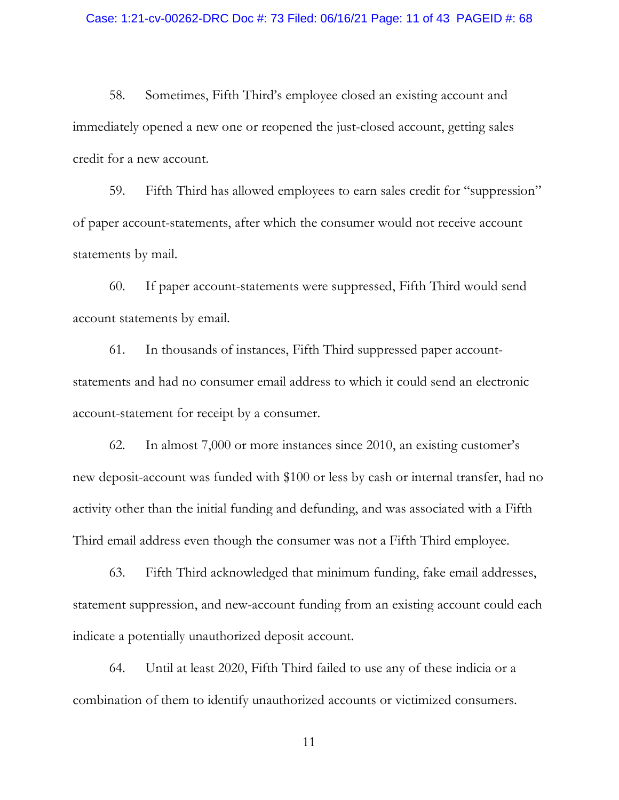#### Case: 1:21-cv-00262-DRC Doc #: 73 Filed: 06/16/21 Page: 11 of 43 PAGEID #: 68

58. Sometimes, Fifth Third's employee closed an existing account and immediately opened a new one or reopened the just-closed account, getting sales credit for a new account.

59. Fifth Third has allowed employees to earn sales credit for "suppression" of paper account-statements, after which the consumer would not receive account statements by mail.

60. If paper account-statements were suppressed, Fifth Third would send account statements by email.

61. In thousands of instances, Fifth Third suppressed paper accountstatements and had no consumer email address to which it could send an electronic account-statement for receipt by a consumer.

62. In almost 7,000 or more instances since 2010, an existing customer's new deposit-account was funded with \$100 or less by cash or internal transfer, had no activity other than the initial funding and defunding, and was associated with a Fifth Third email address even though the consumer was not a Fifth Third employee.

63. Fifth Third acknowledged that minimum funding, fake email addresses, statement suppression, and new-account funding from an existing account could each indicate a potentially unauthorized deposit account.

64. Until at least 2020, Fifth Third failed to use any of these indicia or a combination of them to identify unauthorized accounts or victimized consumers.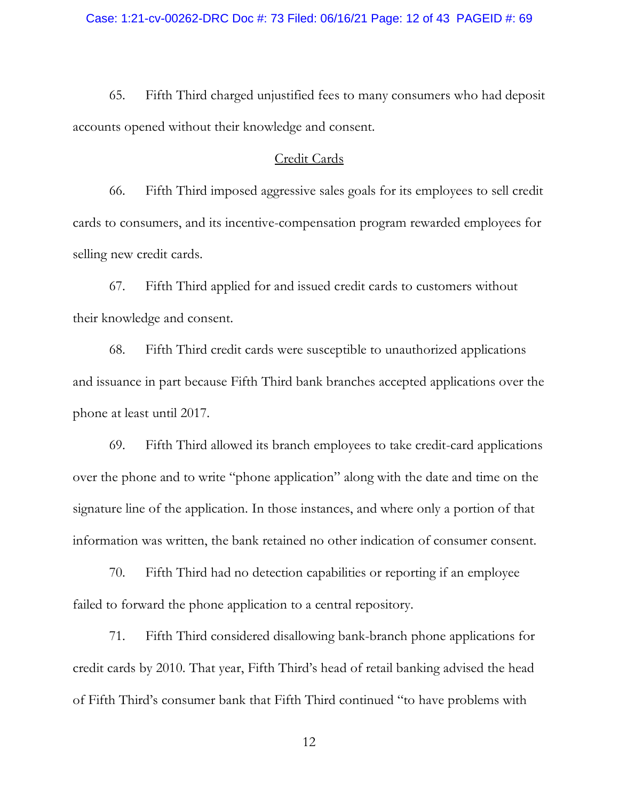65. Fifth Third charged unjustified fees to many consumers who had deposit accounts opened without their knowledge and consent.

### Credit Cards

66. Fifth Third imposed aggressive sales goals for its employees to sell credit cards to consumers, and its incentive-compensation program rewarded employees for selling new credit cards.

67. Fifth Third applied for and issued credit cards to customers without their knowledge and consent.

68. Fifth Third credit cards were susceptible to unauthorized applications and issuance in part because Fifth Third bank branches accepted applications over the phone at least until 2017.

69. Fifth Third allowed its branch employees to take credit-card applications over the phone and to write "phone application" along with the date and time on the signature line of the application. In those instances, and where only a portion of that information was written, the bank retained no other indication of consumer consent.

70. Fifth Third had no detection capabilities or reporting if an employee failed to forward the phone application to a central repository.

71. Fifth Third considered disallowing bank-branch phone applications for credit cards by 2010. That year, Fifth Third's head of retail banking advised the head of Fifth Third's consumer bank that Fifth Third continued "to have problems with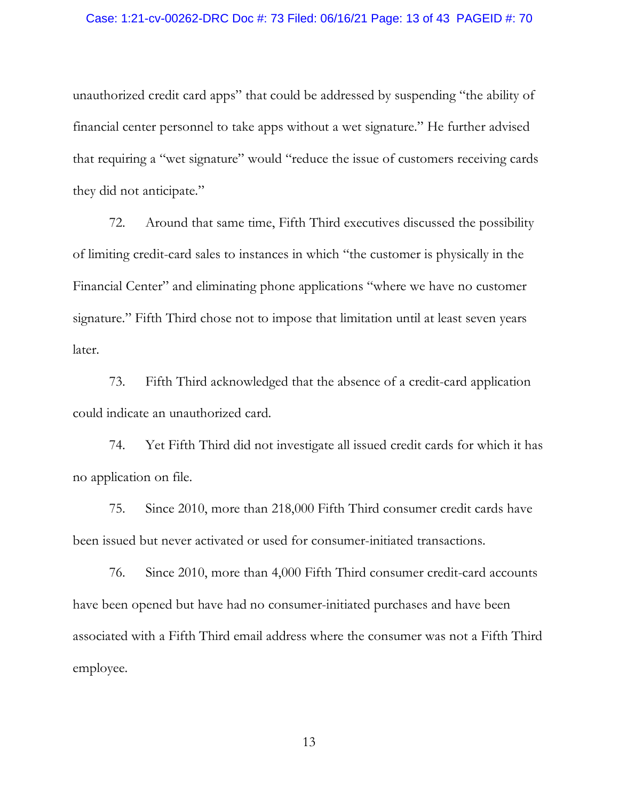### Case: 1:21-cv-00262-DRC Doc #: 73 Filed: 06/16/21 Page: 13 of 43 PAGEID #: 70

unauthorized credit card apps" that could be addressed by suspending "the ability of financial center personnel to take apps without a wet signature." He further advised that requiring a "wet signature" would "reduce the issue of customers receiving cards they did not anticipate."

72. Around that same time, Fifth Third executives discussed the possibility of limiting credit-card sales to instances in which "the customer is physically in the Financial Center" and eliminating phone applications "where we have no customer signature." Fifth Third chose not to impose that limitation until at least seven years later.

73. Fifth Third acknowledged that the absence of a credit-card application could indicate an unauthorized card.

74. Yet Fifth Third did not investigate all issued credit cards for which it has no application on file.

75. Since 2010, more than 218,000 Fifth Third consumer credit cards have been issued but never activated or used for consumer-initiated transactions.

76. Since 2010, more than 4,000 Fifth Third consumer credit-card accounts have been opened but have had no consumer-initiated purchases and have been associated with a Fifth Third email address where the consumer was not a Fifth Third employee.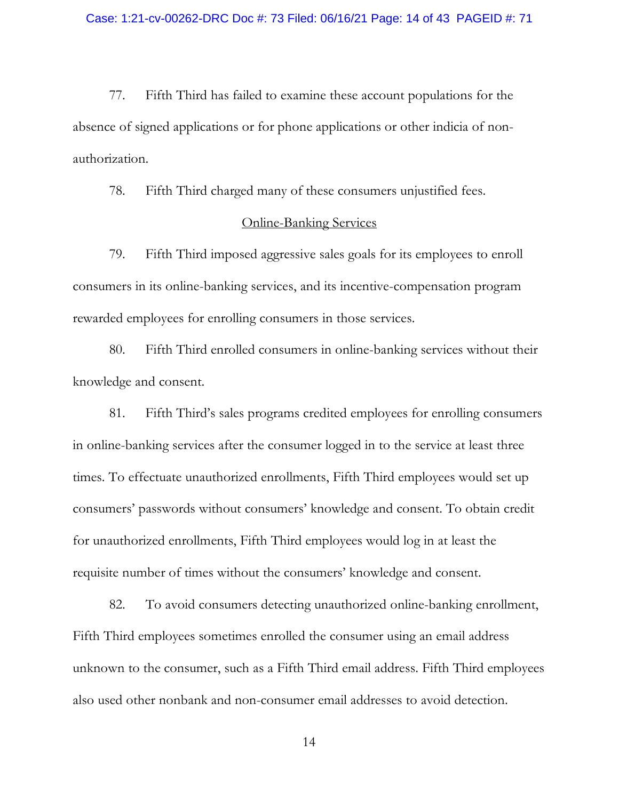77. Fifth Third has failed to examine these account populations for the absence of signed applications or for phone applications or other indicia of nonauthorization.

78. Fifth Third charged many of these consumers unjustified fees.

### Online-Banking Services

79. Fifth Third imposed aggressive sales goals for its employees to enroll consumers in its online-banking services, and its incentive-compensation program rewarded employees for enrolling consumers in those services.

80. Fifth Third enrolled consumers in online-banking services without their knowledge and consent.

81. Fifth Third's sales programs credited employees for enrolling consumers in online-banking services after the consumer logged in to the service at least three times. To effectuate unauthorized enrollments, Fifth Third employees would set up consumers' passwords without consumers' knowledge and consent. To obtain credit for unauthorized enrollments, Fifth Third employees would log in at least the requisite number of times without the consumers' knowledge and consent.

82. To avoid consumers detecting unauthorized online-banking enrollment, Fifth Third employees sometimes enrolled the consumer using an email address unknown to the consumer, such as a Fifth Third email address. Fifth Third employees also used other nonbank and non-consumer email addresses to avoid detection.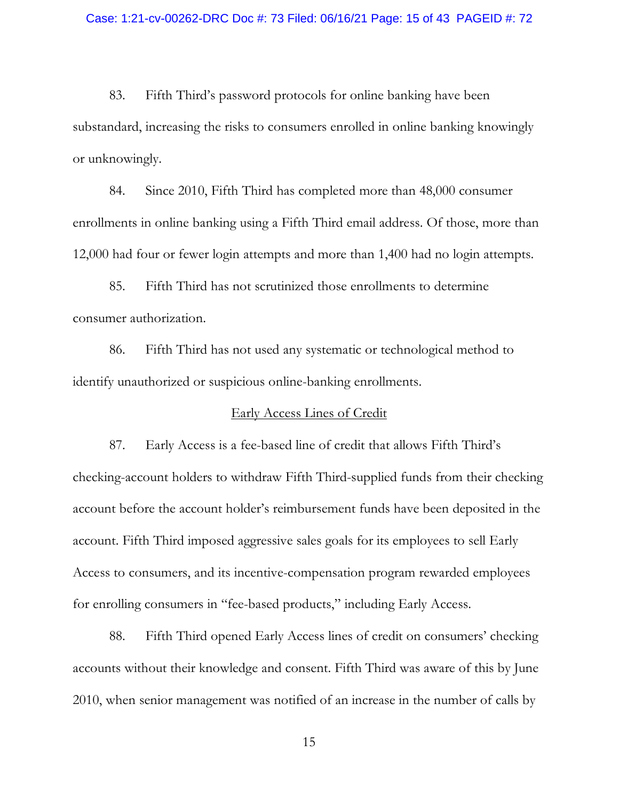83. Fifth Third's password protocols for online banking have been substandard, increasing the risks to consumers enrolled in online banking knowingly or unknowingly.

84. Since 2010, Fifth Third has completed more than 48,000 consumer enrollments in online banking using a Fifth Third email address. Of those, more than 12,000 had four or fewer login attempts and more than 1,400 had no login attempts.

85. Fifth Third has not scrutinized those enrollments to determine consumer authorization.

86. Fifth Third has not used any systematic or technological method to identify unauthorized or suspicious online-banking enrollments.

### Early Access Lines of Credit

87. Early Access is a fee-based line of credit that allows Fifth Third's checking-account holders to withdraw Fifth Third-supplied funds from their checking account before the account holder's reimbursement funds have been deposited in the account. Fifth Third imposed aggressive sales goals for its employees to sell Early Access to consumers, and its incentive-compensation program rewarded employees for enrolling consumers in "fee-based products," including Early Access.

88. Fifth Third opened Early Access lines of credit on consumers' checking accounts without their knowledge and consent. Fifth Third was aware of this by June 2010, when senior management was notified of an increase in the number of calls by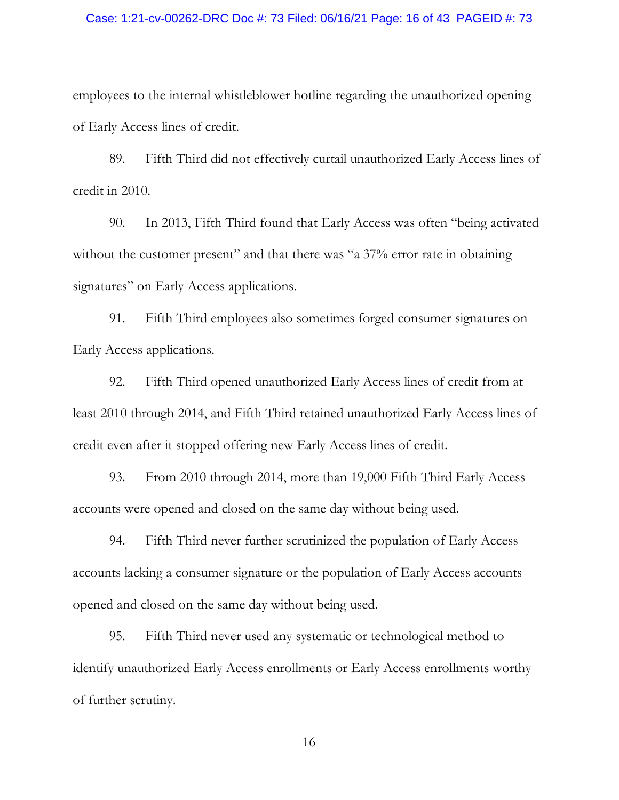### Case: 1:21-cv-00262-DRC Doc #: 73 Filed: 06/16/21 Page: 16 of 43 PAGEID #: 73

employees to the internal whistleblower hotline regarding the unauthorized opening of Early Access lines of credit.

89. Fifth Third did not effectively curtail unauthorized Early Access lines of credit in 2010.

90. In 2013, Fifth Third found that Early Access was often "being activated without the customer present" and that there was "a 37% error rate in obtaining signatures" on Early Access applications.

91. Fifth Third employees also sometimes forged consumer signatures on Early Access applications.

92. Fifth Third opened unauthorized Early Access lines of credit from at least 2010 through 2014, and Fifth Third retained unauthorized Early Access lines of credit even after it stopped offering new Early Access lines of credit.

93. From 2010 through 2014, more than 19,000 Fifth Third Early Access accounts were opened and closed on the same day without being used.

94. Fifth Third never further scrutinized the population of Early Access accounts lacking a consumer signature or the population of Early Access accounts opened and closed on the same day without being used.

95. Fifth Third never used any systematic or technological method to identify unauthorized Early Access enrollments or Early Access enrollments worthy of further scrutiny.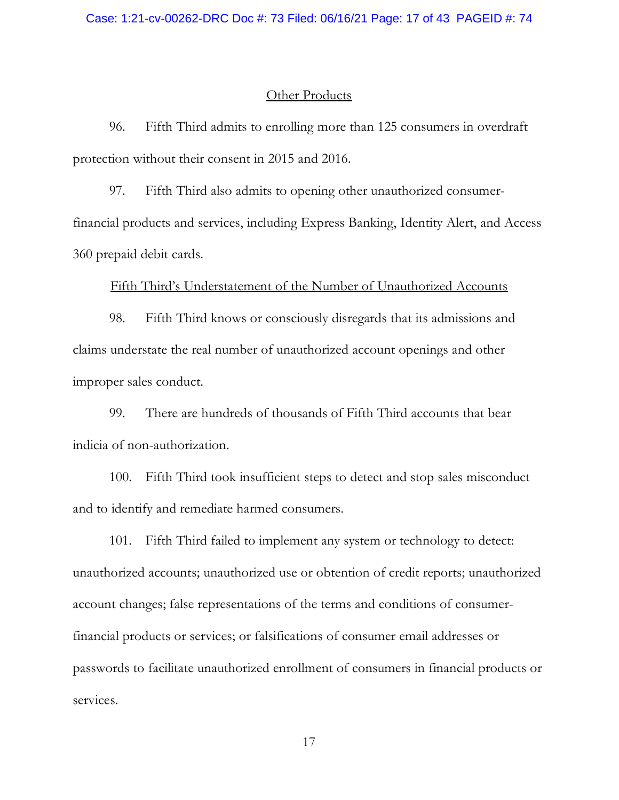### Other Products

96. Fifth Third admits to enrolling more than 125 consumers in overdraft protection without their consent in 2015 and 2016.

97. Fifth Third also admits to opening other unauthorized consumerfinancial products and services, including Express Banking, Identity Alert, and Access 360 prepaid debit cards.

### Fifth Third's Understatement of the Number of Unauthorized Accounts

98. Fifth Third knows or consciously disregards that its admissions and claims understate the real number of unauthorized account openings and other improper sales conduct.

99. There are hundreds of thousands of Fifth Third accounts that bear indicia of non-authorization.

100. Fifth Third took insufficient steps to detect and stop sales misconduct and to identify and remediate harmed consumers.

101. Fifth Third failed to implement any system or technology to detect: unauthorized accounts; unauthorized use or obtention of credit reports; unauthorized account changes; false representations of the terms and conditions of consumerfinancial products or services; or falsifications of consumer email addresses or passwords to facilitate unauthorized enrollment of consumers in financial products or services.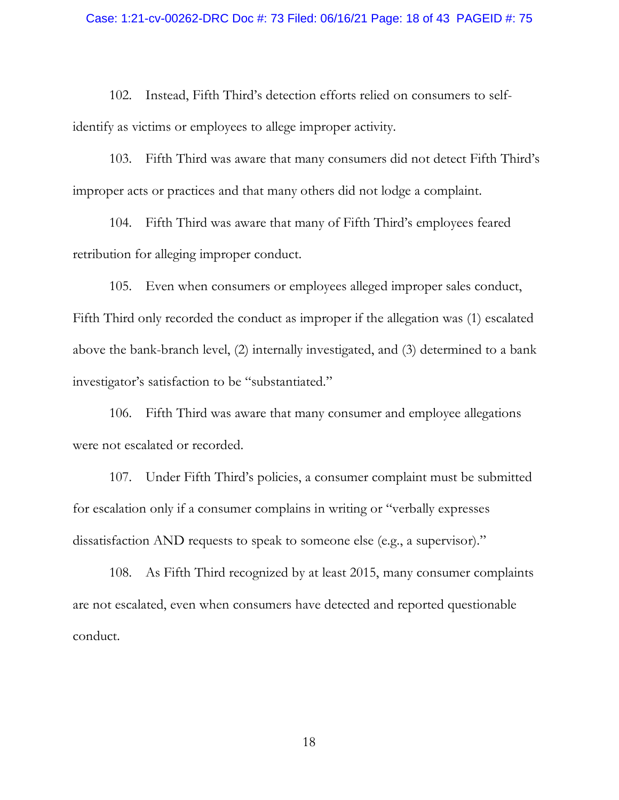102. Instead, Fifth Third's detection efforts relied on consumers to selfidentify as victims or employees to allege improper activity.

103. Fifth Third was aware that many consumers did not detect Fifth Third's improper acts or practices and that many others did not lodge a complaint.

104. Fifth Third was aware that many of Fifth Third's employees feared retribution for alleging improper conduct.

105. Even when consumers or employees alleged improper sales conduct, Fifth Third only recorded the conduct as improper if the allegation was (1) escalated above the bank-branch level, (2) internally investigated, and (3) determined to a bank investigator's satisfaction to be "substantiated."

106. Fifth Third was aware that many consumer and employee allegations were not escalated or recorded.

107. Under Fifth Third's policies, a consumer complaint must be submitted for escalation only if a consumer complains in writing or "verbally expresses dissatisfaction AND requests to speak to someone else (e.g., a supervisor)."

108. As Fifth Third recognized by at least 2015, many consumer complaints are not escalated, even when consumers have detected and reported questionable conduct.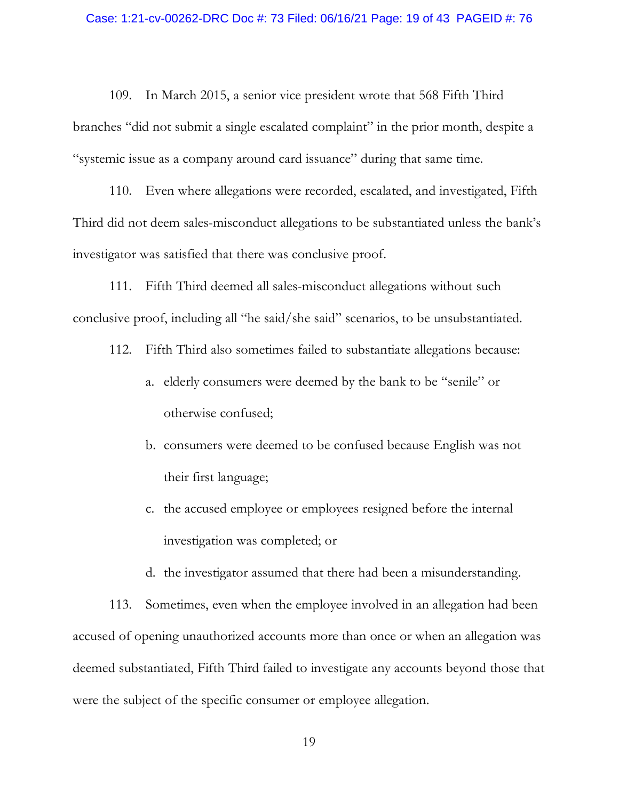109. In March 2015, a senior vice president wrote that 568 Fifth Third branches "did not submit a single escalated complaint" in the prior month, despite a "systemic issue as a company around card issuance" during that same time.

110. Even where allegations were recorded, escalated, and investigated, Fifth Third did not deem sales-misconduct allegations to be substantiated unless the bank's investigator was satisfied that there was conclusive proof.

111. Fifth Third deemed all sales-misconduct allegations without such conclusive proof, including all "he said/she said" scenarios, to be unsubstantiated.

- 112. Fifth Third also sometimes failed to substantiate allegations because:
	- a. elderly consumers were deemed by the bank to be "senile" or otherwise confused;
	- b. consumers were deemed to be confused because English was not their first language;
	- c. the accused employee or employees resigned before the internal investigation was completed; or
	- d. the investigator assumed that there had been a misunderstanding.

113. Sometimes, even when the employee involved in an allegation had been accused of opening unauthorized accounts more than once or when an allegation was deemed substantiated, Fifth Third failed to investigate any accounts beyond those that were the subject of the specific consumer or employee allegation.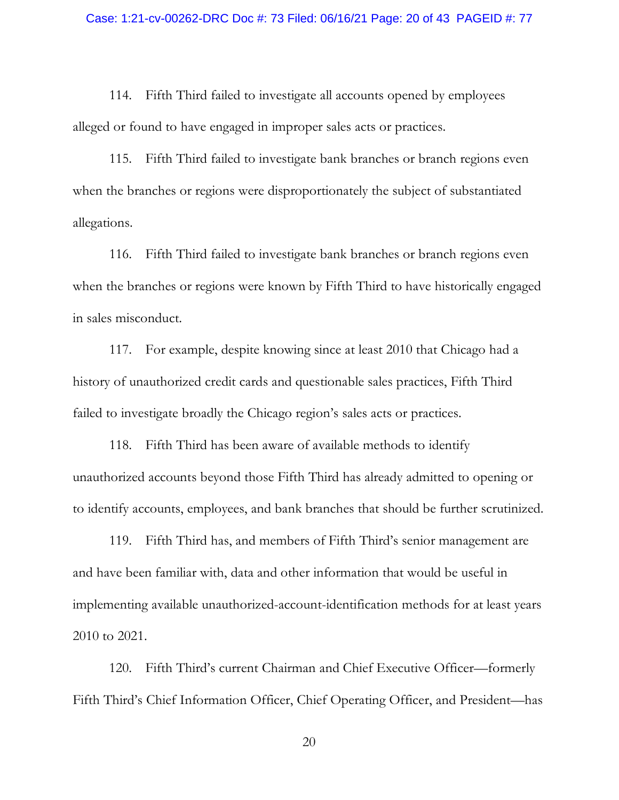114. Fifth Third failed to investigate all accounts opened by employees alleged or found to have engaged in improper sales acts or practices.

115. Fifth Third failed to investigate bank branches or branch regions even when the branches or regions were disproportionately the subject of substantiated allegations.

116. Fifth Third failed to investigate bank branches or branch regions even when the branches or regions were known by Fifth Third to have historically engaged in sales misconduct.

117. For example, despite knowing since at least 2010 that Chicago had a history of unauthorized credit cards and questionable sales practices, Fifth Third failed to investigate broadly the Chicago region's sales acts or practices.

118. Fifth Third has been aware of available methods to identify unauthorized accounts beyond those Fifth Third has already admitted to opening or to identify accounts, employees, and bank branches that should be further scrutinized.

119. Fifth Third has, and members of Fifth Third's senior management are and have been familiar with, data and other information that would be useful in implementing available unauthorized-account-identification methods for at least years 2010 to 2021.

120. Fifth Third's current Chairman and Chief Executive Officer—formerly Fifth Third's Chief Information Officer, Chief Operating Officer, and President—has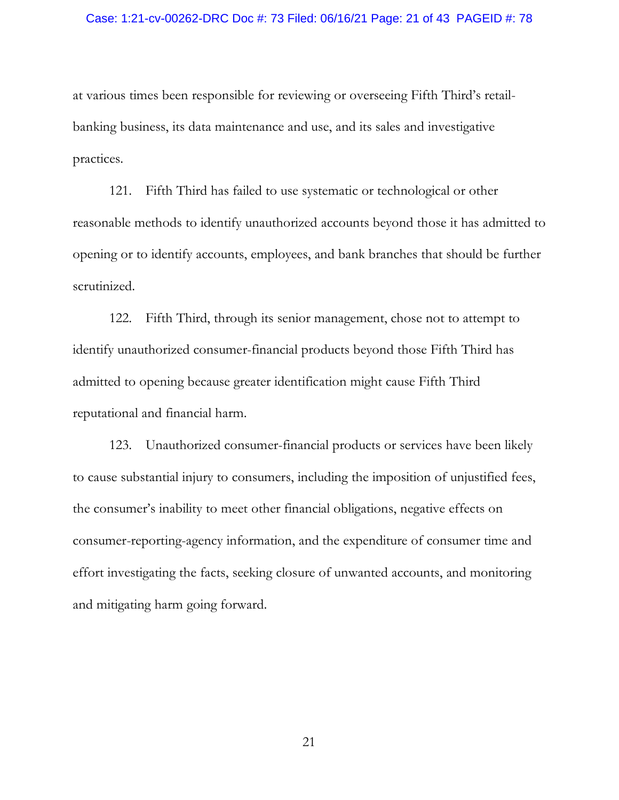#### Case: 1:21-cv-00262-DRC Doc #: 73 Filed: 06/16/21 Page: 21 of 43 PAGEID #: 78

at various times been responsible for reviewing or overseeing Fifth Third's retailbanking business, its data maintenance and use, and its sales and investigative practices.

121. Fifth Third has failed to use systematic or technological or other reasonable methods to identify unauthorized accounts beyond those it has admitted to opening or to identify accounts, employees, and bank branches that should be further scrutinized.

122. Fifth Third, through its senior management, chose not to attempt to identify unauthorized consumer-financial products beyond those Fifth Third has admitted to opening because greater identification might cause Fifth Third reputational and financial harm.

123. Unauthorized consumer-financial products or services have been likely to cause substantial injury to consumers, including the imposition of unjustified fees, the consumer's inability to meet other financial obligations, negative effects on consumer-reporting-agency information, and the expenditure of consumer time and effort investigating the facts, seeking closure of unwanted accounts, and monitoring and mitigating harm going forward.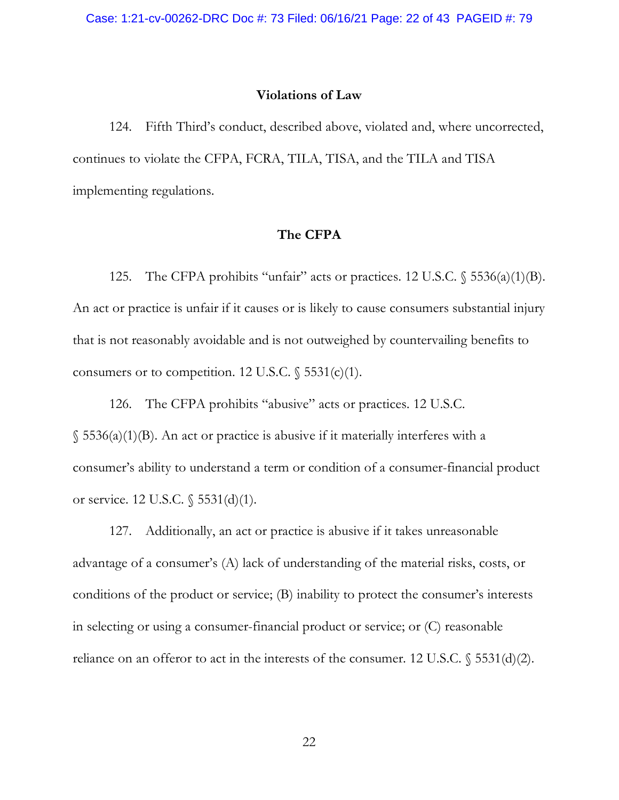### **Violations of Law**

124. Fifth Third's conduct, described above, violated and, where uncorrected, continues to violate the CFPA, FCRA, TILA, TISA, and the TILA and TISA implementing regulations.

### **The CFPA**

125. The CFPA prohibits "unfair" acts or practices. 12 U.S.C. § 5536(a)(1)(B). An act or practice is unfair if it causes or is likely to cause consumers substantial injury that is not reasonably avoidable and is not outweighed by countervailing benefits to consumers or to competition. 12 U.S.C.  $\frac{5531(c)}{1}$ .

126. The CFPA prohibits "abusive" acts or practices. 12 U.S.C.  $\S$  5536(a)(1)(B). An act or practice is abusive if it materially interferes with a consumer's ability to understand a term or condition of a consumer-financial product or service. 12 U.S.C. § 5531(d)(1).

127. Additionally, an act or practice is abusive if it takes unreasonable advantage of a consumer's (A) lack of understanding of the material risks, costs, or conditions of the product or service; (B) inability to protect the consumer's interests in selecting or using a consumer-financial product or service; or (C) reasonable reliance on an offeror to act in the interests of the consumer. 12 U.S.C.  $\$$  5531(d)(2).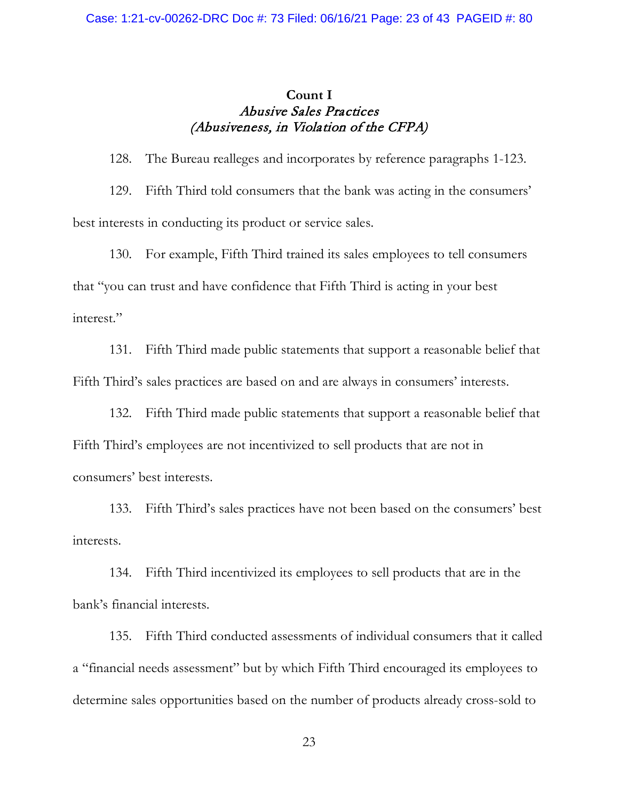## **Count I** Abusive Sales Practices (Abusiveness, in Violation of the CFPA)

128. The Bureau realleges and incorporates by reference paragraphs 1-123. 129. Fifth Third told consumers that the bank was acting in the consumers' best interests in conducting its product or service sales.

130. For example, Fifth Third trained its sales employees to tell consumers that "you can trust and have confidence that Fifth Third is acting in your best interest."

131. Fifth Third made public statements that support a reasonable belief that Fifth Third's sales practices are based on and are always in consumers' interests.

132. Fifth Third made public statements that support a reasonable belief that Fifth Third's employees are not incentivized to sell products that are not in consumers' best interests.

133. Fifth Third's sales practices have not been based on the consumers' best interests.

134. Fifth Third incentivized its employees to sell products that are in the bank's financial interests.

135. Fifth Third conducted assessments of individual consumers that it called a "financial needs assessment" but by which Fifth Third encouraged its employees to determine sales opportunities based on the number of products already cross-sold to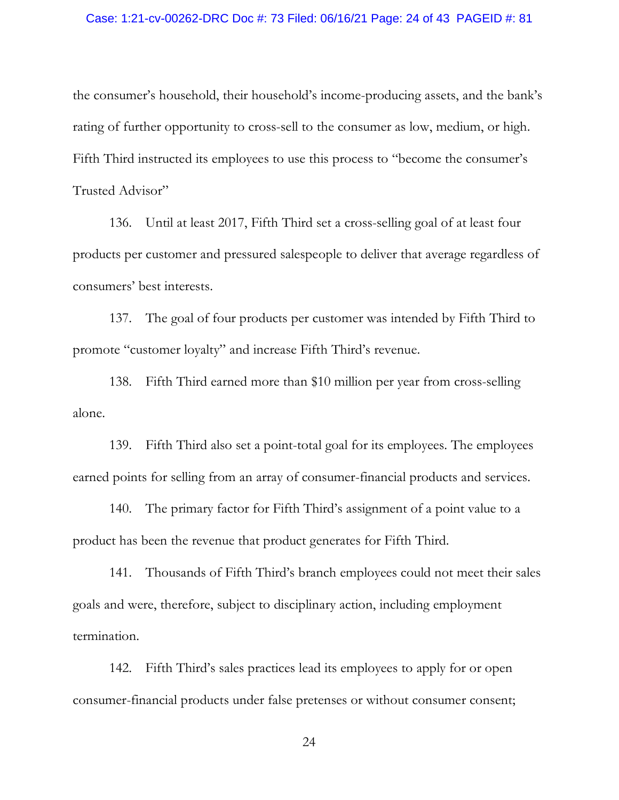### Case: 1:21-cv-00262-DRC Doc #: 73 Filed: 06/16/21 Page: 24 of 43 PAGEID #: 81

the consumer's household, their household's income-producing assets, and the bank's rating of further opportunity to cross-sell to the consumer as low, medium, or high. Fifth Third instructed its employees to use this process to "become the consumer's Trusted Advisor"

136. Until at least 2017, Fifth Third set a cross-selling goal of at least four products per customer and pressured salespeople to deliver that average regardless of consumers' best interests.

137. The goal of four products per customer was intended by Fifth Third to promote "customer loyalty" and increase Fifth Third's revenue.

138. Fifth Third earned more than \$10 million per year from cross-selling alone.

139. Fifth Third also set a point-total goal for its employees. The employees earned points for selling from an array of consumer-financial products and services.

140. The primary factor for Fifth Third's assignment of a point value to a product has been the revenue that product generates for Fifth Third.

141. Thousands of Fifth Third's branch employees could not meet their sales goals and were, therefore, subject to disciplinary action, including employment termination.

142. Fifth Third's sales practices lead its employees to apply for or open consumer-financial products under false pretenses or without consumer consent;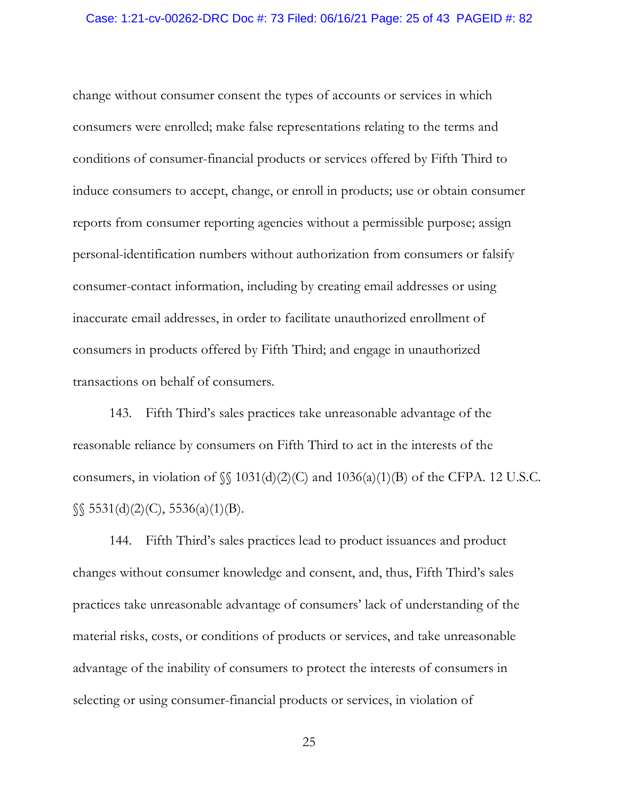change without consumer consent the types of accounts or services in which consumers were enrolled; make false representations relating to the terms and conditions of consumer-financial products or services offered by Fifth Third to induce consumers to accept, change, or enroll in products; use or obtain consumer reports from consumer reporting agencies without a permissible purpose; assign personal-identification numbers without authorization from consumers or falsify consumer-contact information, including by creating email addresses or using inaccurate email addresses, in order to facilitate unauthorized enrollment of consumers in products offered by Fifth Third; and engage in unauthorized transactions on behalf of consumers.

143. Fifth Third's sales practices take unreasonable advantage of the reasonable reliance by consumers on Fifth Third to act in the interests of the consumers, in violation of  $\mathcal{S} = 1031(d)(2)(C)$  and  $1036(a)(1)(B)$  of the CFPA. 12 U.S.C.  $\S$  5531(d)(2)(C), 5536(a)(1)(B).

144. Fifth Third's sales practices lead to product issuances and product changes without consumer knowledge and consent, and, thus, Fifth Third's sales practices take unreasonable advantage of consumers' lack of understanding of the material risks, costs, or conditions of products or services, and take unreasonable advantage of the inability of consumers to protect the interests of consumers in selecting or using consumer-financial products or services, in violation of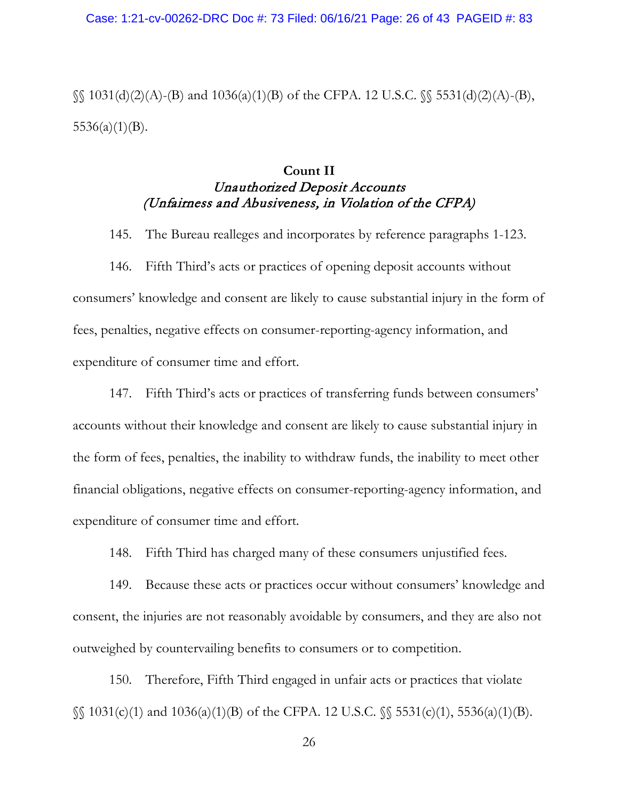$\S$ [031(d)(2)(A)-(B) and 1036(a)(1)(B) of the CFPA. 12 U.S.C.  $\S$ [5531(d)(2)(A)-(B),  $5536(a)(1)(B)$ .

# **Count II** Unauthorized Deposit Accounts (Unfairness and Abusiveness, in Violation of the CFPA)

145. The Bureau realleges and incorporates by reference paragraphs 1-123.

146. Fifth Third's acts or practices of opening deposit accounts without consumers' knowledge and consent are likely to cause substantial injury in the form of fees, penalties, negative effects on consumer-reporting-agency information, and expenditure of consumer time and effort.

147. Fifth Third's acts or practices of transferring funds between consumers' accounts without their knowledge and consent are likely to cause substantial injury in the form of fees, penalties, the inability to withdraw funds, the inability to meet other financial obligations, negative effects on consumer-reporting-agency information, and expenditure of consumer time and effort.

148. Fifth Third has charged many of these consumers unjustified fees.

149. Because these acts or practices occur without consumers' knowledge and consent, the injuries are not reasonably avoidable by consumers, and they are also not outweighed by countervailing benefits to consumers or to competition.

150. Therefore, Fifth Third engaged in unfair acts or practices that violate §§ 1031(c)(1) and 1036(a)(1)(B) of the CFPA. 12 U.S.C. §§ 5531(c)(1), 5536(a)(1)(B).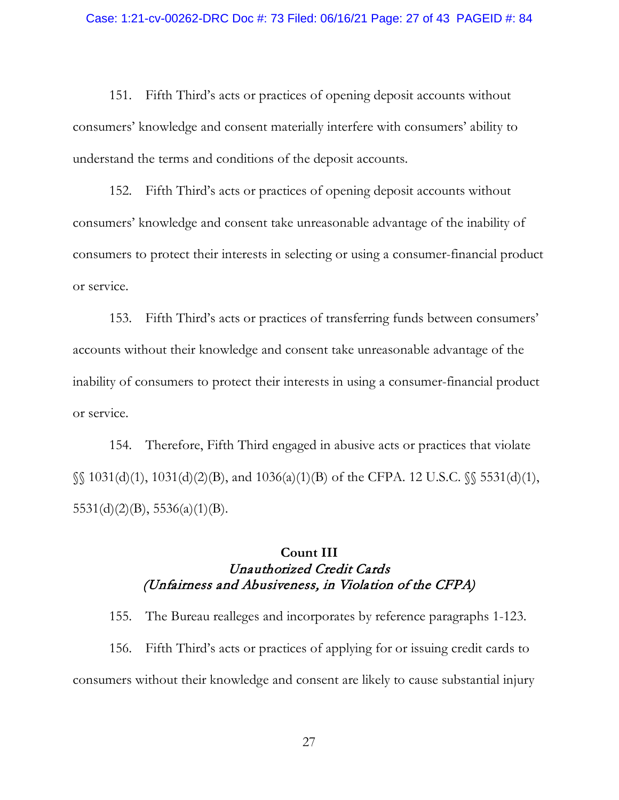151. Fifth Third's acts or practices of opening deposit accounts without consumers' knowledge and consent materially interfere with consumers' ability to understand the terms and conditions of the deposit accounts.

152. Fifth Third's acts or practices of opening deposit accounts without consumers' knowledge and consent take unreasonable advantage of the inability of consumers to protect their interests in selecting or using a consumer-financial product or service.

153. Fifth Third's acts or practices of transferring funds between consumers' accounts without their knowledge and consent take unreasonable advantage of the inability of consumers to protect their interests in using a consumer-financial product or service.

154. Therefore, Fifth Third engaged in abusive acts or practices that violate §§ 1031(d)(1), 1031(d)(2)(B), and 1036(a)(1)(B) of the CFPA. 12 U.S.C. §§ 5531(d)(1),  $5531(d)(2)(B)$ ,  $5536(a)(1)(B)$ .

# **Count III** Unauthorized Credit Cards (Unfairness and Abusiveness, in Violation of the CFPA)

155. The Bureau realleges and incorporates by reference paragraphs 1-123. 156. Fifth Third's acts or practices of applying for or issuing credit cards to consumers without their knowledge and consent are likely to cause substantial injury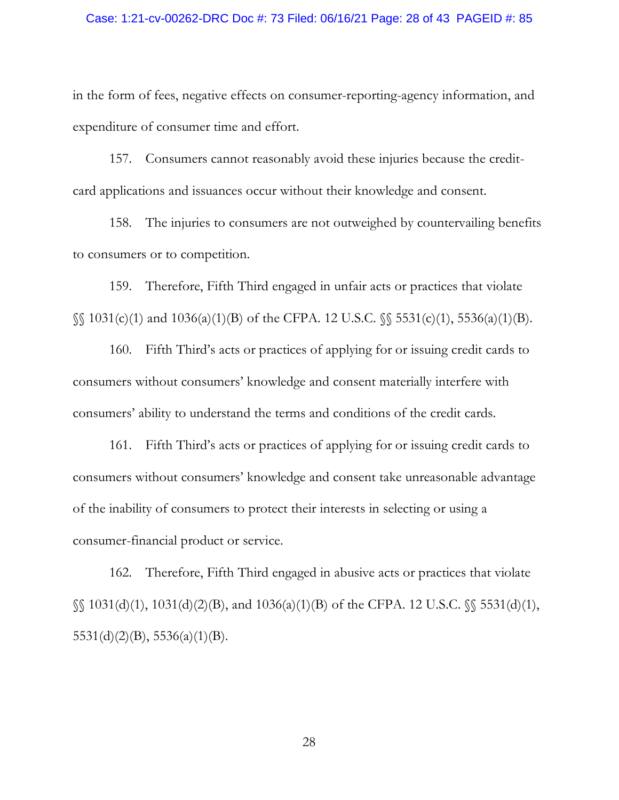#### Case: 1:21-cv-00262-DRC Doc #: 73 Filed: 06/16/21 Page: 28 of 43 PAGEID #: 85

in the form of fees, negative effects on consumer-reporting-agency information, and expenditure of consumer time and effort.

157. Consumers cannot reasonably avoid these injuries because the creditcard applications and issuances occur without their knowledge and consent.

158. The injuries to consumers are not outweighed by countervailing benefits to consumers or to competition.

159. Therefore, Fifth Third engaged in unfair acts or practices that violate §§ 1031(c)(1) and 1036(a)(1)(B) of the CFPA. 12 U.S.C. §§ 5531(c)(1), 5536(a)(1)(B).

160. Fifth Third's acts or practices of applying for or issuing credit cards to consumers without consumers' knowledge and consent materially interfere with consumers' ability to understand the terms and conditions of the credit cards.

161. Fifth Third's acts or practices of applying for or issuing credit cards to consumers without consumers' knowledge and consent take unreasonable advantage of the inability of consumers to protect their interests in selecting or using a consumer-financial product or service.

162. Therefore, Fifth Third engaged in abusive acts or practices that violate §§ 1031(d)(1), 1031(d)(2)(B), and 1036(a)(1)(B) of the CFPA. 12 U.S.C. §§ 5531(d)(1),  $5531(d)(2)(B)$ ,  $5536(a)(1)(B)$ .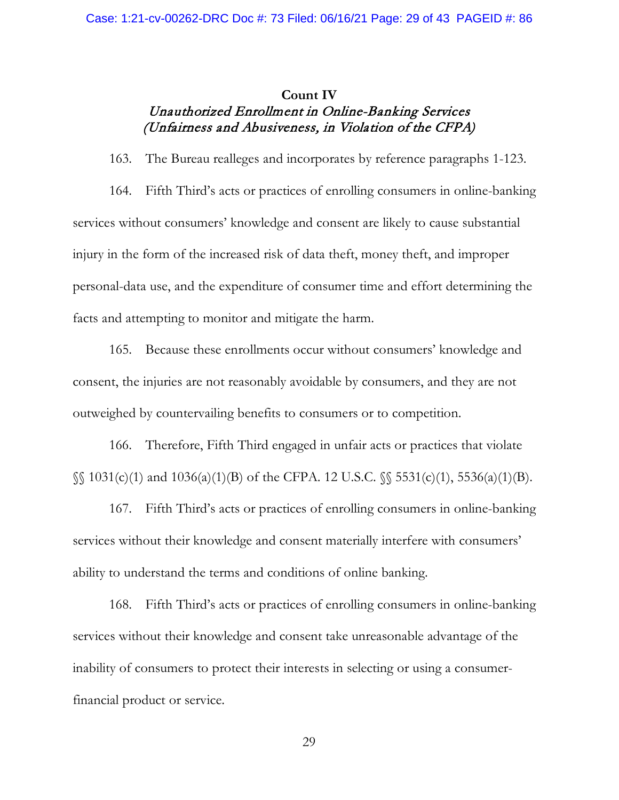# **Count IV** Unauthorized Enrollment in Online-Banking Services (Unfairness and Abusiveness, in Violation of the CFPA)

163. The Bureau realleges and incorporates by reference paragraphs 1-123.

164. Fifth Third's acts or practices of enrolling consumers in online-banking services without consumers' knowledge and consent are likely to cause substantial injury in the form of the increased risk of data theft, money theft, and improper personal-data use, and the expenditure of consumer time and effort determining the facts and attempting to monitor and mitigate the harm.

165. Because these enrollments occur without consumers' knowledge and consent, the injuries are not reasonably avoidable by consumers, and they are not outweighed by countervailing benefits to consumers or to competition.

166. Therefore, Fifth Third engaged in unfair acts or practices that violate §§ 1031(c)(1) and 1036(a)(1)(B) of the CFPA. 12 U.S.C. §§ 5531(c)(1), 5536(a)(1)(B).

167. Fifth Third's acts or practices of enrolling consumers in online-banking services without their knowledge and consent materially interfere with consumers' ability to understand the terms and conditions of online banking.

168. Fifth Third's acts or practices of enrolling consumers in online-banking services without their knowledge and consent take unreasonable advantage of the inability of consumers to protect their interests in selecting or using a consumerfinancial product or service.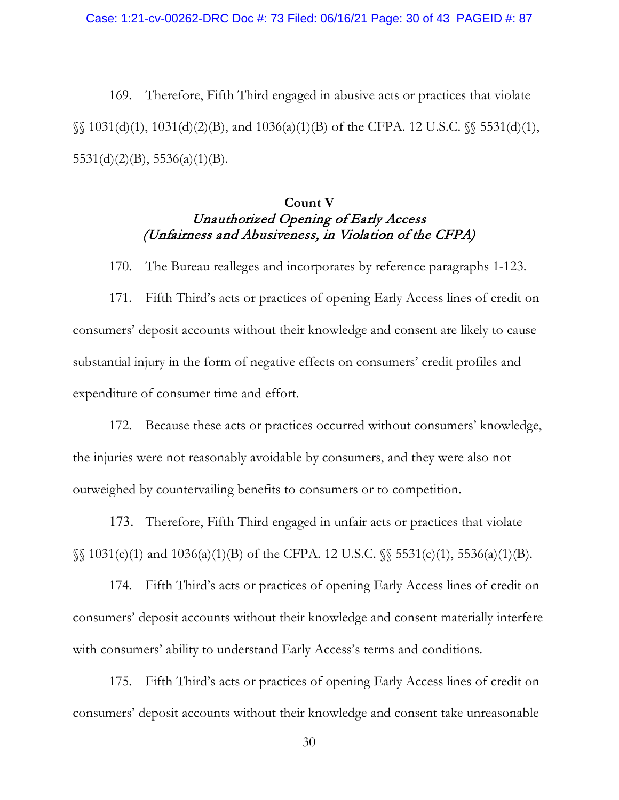169. Therefore, Fifth Third engaged in abusive acts or practices that violate  $\S$ [031(d)(1), 1031(d)(2)(B), and 1036(a)(1)(B) of the CFPA. 12 U.S.C.  $\S$ [05531(d)(1),  $5531(d)(2)(B)$ ,  $5536(a)(1)(B)$ .

# **Count V** Unauthorized Opening of Early Access (Unfairness and Abusiveness, in Violation of the CFPA)

170. The Bureau realleges and incorporates by reference paragraphs 1-123.

171. Fifth Third's acts or practices of opening Early Access lines of credit on consumers' deposit accounts without their knowledge and consent are likely to cause substantial injury in the form of negative effects on consumers' credit profiles and expenditure of consumer time and effort.

172. Because these acts or practices occurred without consumers' knowledge, the injuries were not reasonably avoidable by consumers, and they were also not outweighed by countervailing benefits to consumers or to competition.

173. Therefore, Fifth Third engaged in unfair acts or practices that violate §§ 1031(c)(1) and 1036(a)(1)(B) of the CFPA. 12 U.S.C. §§ 5531(c)(1), 5536(a)(1)(B).

174. Fifth Third's acts or practices of opening Early Access lines of credit on consumers' deposit accounts without their knowledge and consent materially interfere with consumers' ability to understand Early Access's terms and conditions.

175. Fifth Third's acts or practices of opening Early Access lines of credit on consumers' deposit accounts without their knowledge and consent take unreasonable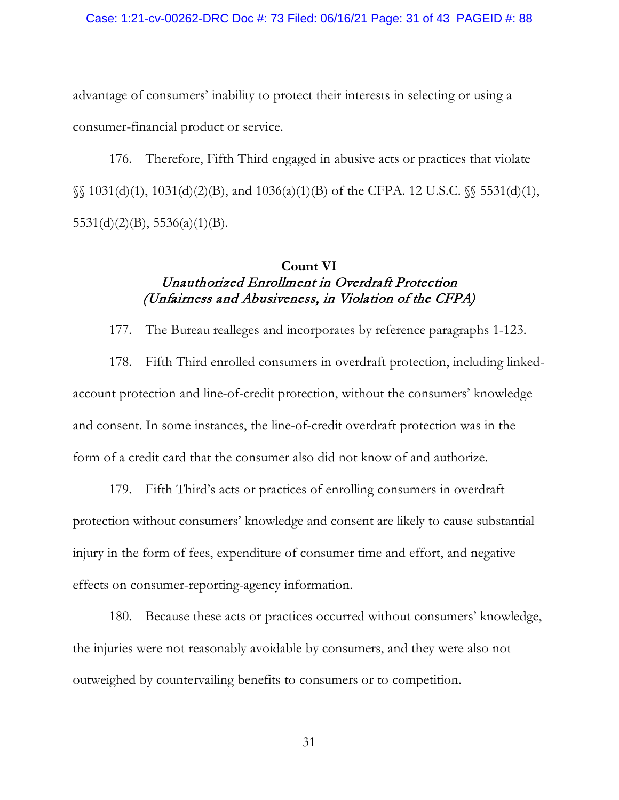### Case: 1:21-cv-00262-DRC Doc #: 73 Filed: 06/16/21 Page: 31 of 43 PAGEID #: 88

advantage of consumers' inability to protect their interests in selecting or using a consumer-financial product or service.

176. Therefore, Fifth Third engaged in abusive acts or practices that violate §§ 1031(d)(1), 1031(d)(2)(B), and 1036(a)(1)(B) of the CFPA. 12 U.S.C. §§ 5531(d)(1),  $5531(d)(2)(B)$ ,  $5536(a)(1)(B)$ .

### **Count VI**

# Unauthorized Enrollment in Overdraft Protection (Unfairness and Abusiveness, in Violation of the CFPA)

177. The Bureau realleges and incorporates by reference paragraphs 1-123.

178. Fifth Third enrolled consumers in overdraft protection, including linkedaccount protection and line-of-credit protection, without the consumers' knowledge and consent. In some instances, the line-of-credit overdraft protection was in the form of a credit card that the consumer also did not know of and authorize.

179. Fifth Third's acts or practices of enrolling consumers in overdraft protection without consumers' knowledge and consent are likely to cause substantial injury in the form of fees, expenditure of consumer time and effort, and negative effects on consumer-reporting-agency information.

180. Because these acts or practices occurred without consumers' knowledge, the injuries were not reasonably avoidable by consumers, and they were also not outweighed by countervailing benefits to consumers or to competition.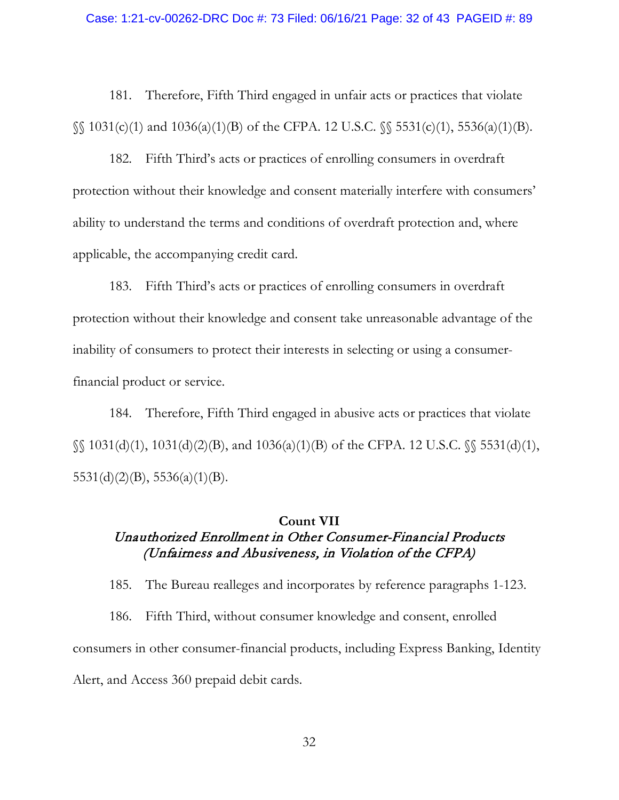### Case: 1:21-cv-00262-DRC Doc #: 73 Filed: 06/16/21 Page: 32 of 43 PAGEID #: 89

181. Therefore, Fifth Third engaged in unfair acts or practices that violate §§ 1031(c)(1) and 1036(a)(1)(B) of the CFPA. 12 U.S.C. §§ 5531(c)(1), 5536(a)(1)(B).

182. Fifth Third's acts or practices of enrolling consumers in overdraft protection without their knowledge and consent materially interfere with consumers' ability to understand the terms and conditions of overdraft protection and, where applicable, the accompanying credit card.

183. Fifth Third's acts or practices of enrolling consumers in overdraft protection without their knowledge and consent take unreasonable advantage of the inability of consumers to protect their interests in selecting or using a consumerfinancial product or service.

184. Therefore, Fifth Third engaged in abusive acts or practices that violate §§ 1031(d)(1), 1031(d)(2)(B), and 1036(a)(1)(B) of the CFPA. 12 U.S.C. §§ 5531(d)(1), 5531(d)(2)(B), 5536(a)(1)(B).

### **Count VII**

# Unauthorized Enrollment in Other Consumer-Financial Products (Unfairness and Abusiveness, in Violation of the CFPA)

185. The Bureau realleges and incorporates by reference paragraphs 1-123.

186. Fifth Third, without consumer knowledge and consent, enrolled consumers in other consumer-financial products, including Express Banking, Identity Alert, and Access 360 prepaid debit cards.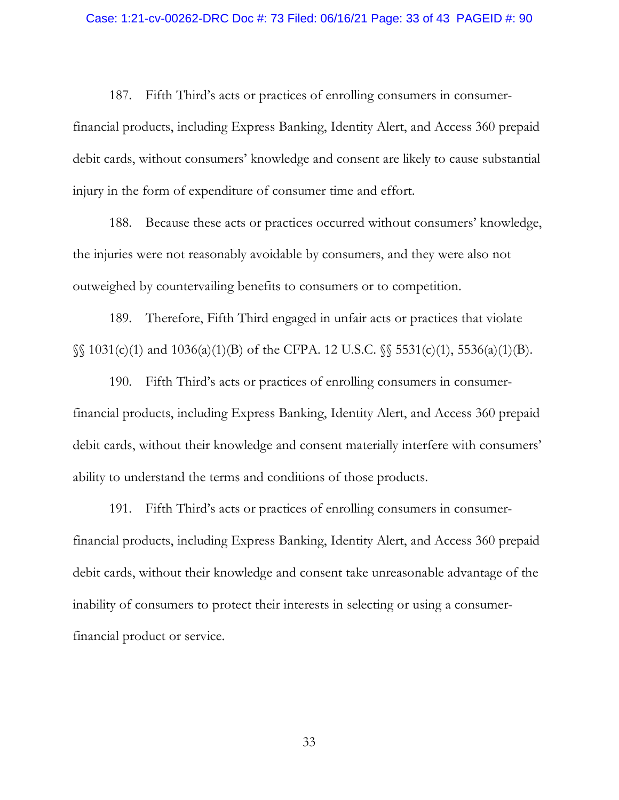187. Fifth Third's acts or practices of enrolling consumers in consumerfinancial products, including Express Banking, Identity Alert, and Access 360 prepaid debit cards, without consumers' knowledge and consent are likely to cause substantial injury in the form of expenditure of consumer time and effort.

188. Because these acts or practices occurred without consumers' knowledge, the injuries were not reasonably avoidable by consumers, and they were also not outweighed by countervailing benefits to consumers or to competition.

189. Therefore, Fifth Third engaged in unfair acts or practices that violate §§ 1031(c)(1) and 1036(a)(1)(B) of the CFPA. 12 U.S.C. §§ 5531(c)(1), 5536(a)(1)(B).

190. Fifth Third's acts or practices of enrolling consumers in consumerfinancial products, including Express Banking, Identity Alert, and Access 360 prepaid debit cards, without their knowledge and consent materially interfere with consumers' ability to understand the terms and conditions of those products.

191. Fifth Third's acts or practices of enrolling consumers in consumerfinancial products, including Express Banking, Identity Alert, and Access 360 prepaid debit cards, without their knowledge and consent take unreasonable advantage of the inability of consumers to protect their interests in selecting or using a consumerfinancial product or service.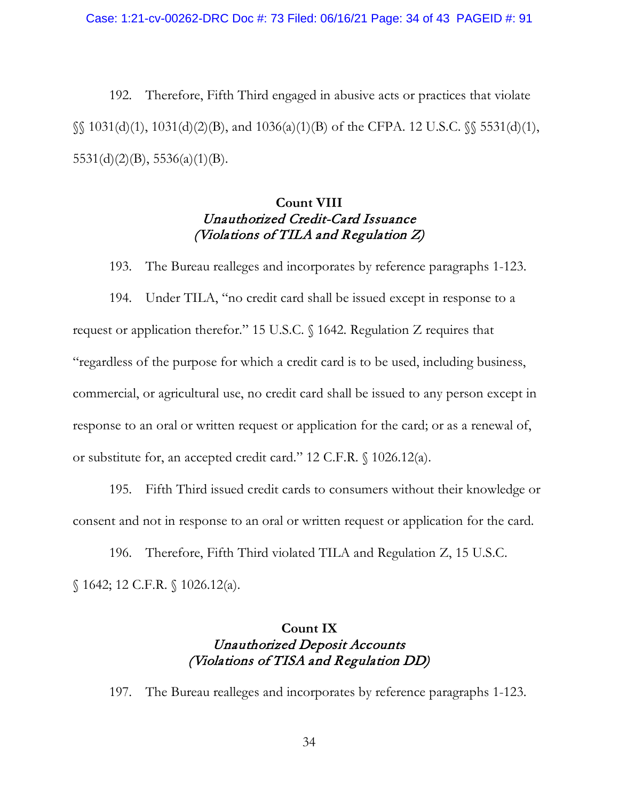192. Therefore, Fifth Third engaged in abusive acts or practices that violate  $\S$ [031(d)(1), 1031(d)(2)(B), and 1036(a)(1)(B) of the CFPA. 12 U.S.C.  $\S$ [05531(d)(1),  $5531(d)(2)(B)$ ,  $5536(a)(1)(B)$ .

# **Count VIII** Unauthorized Credit-Card Issuance (Violations of TILA and Regulation Z)

193. The Bureau realleges and incorporates by reference paragraphs 1-123.

194. Under TILA, "no credit card shall be issued except in response to a request or application therefor." 15 U.S.C. § 1642. Regulation Z requires that "regardless of the purpose for which a credit card is to be used, including business, commercial, or agricultural use, no credit card shall be issued to any person except in response to an oral or written request or application for the card; or as a renewal of, or substitute for, an accepted credit card." 12 C.F.R. § 1026.12(a).

195. Fifth Third issued credit cards to consumers without their knowledge or consent and not in response to an oral or written request or application for the card.

196. Therefore, Fifth Third violated TILA and Regulation Z, 15 U.S.C. § 1642; 12 C.F.R. § 1026.12(a).

# **Count IX** Unauthorized Deposit Accounts (Violations of TISA and Regulation DD)

197. The Bureau realleges and incorporates by reference paragraphs 1-123.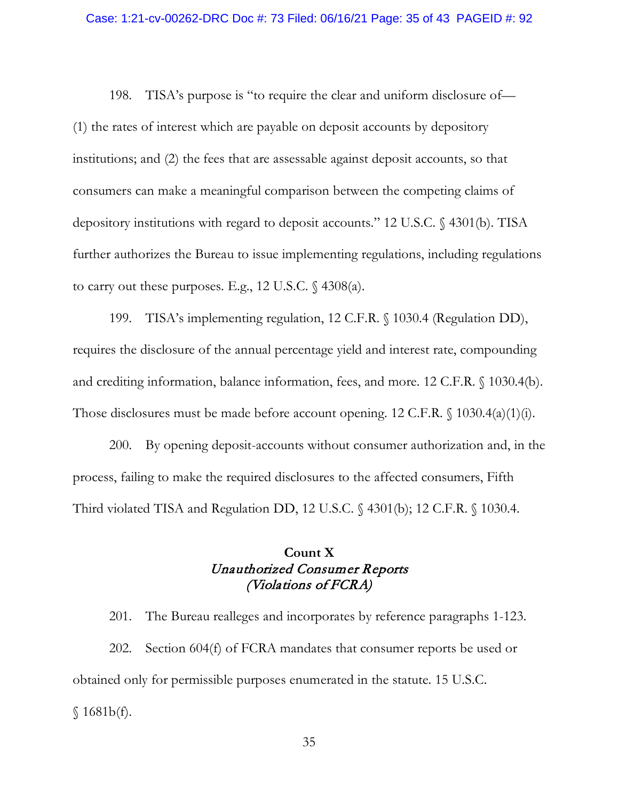198. TISA's purpose is "to require the clear and uniform disclosure of— (1) the rates of interest which are payable on deposit accounts by depository institutions; and (2) the fees that are assessable against deposit accounts, so that consumers can make a meaningful comparison between the competing claims of depository institutions with regard to deposit accounts." 12 U.S.C. § 4301(b). TISA further authorizes the Bureau to issue implementing regulations, including regulations to carry out these purposes. E.g., 12 U.S.C.  $\{\frac{4308(a)}{a}\}$ .

199. TISA's implementing regulation, 12 C.F.R. § 1030.4 (Regulation DD), requires the disclosure of the annual percentage yield and interest rate, compounding and crediting information, balance information, fees, and more. 12 C.F.R. § 1030.4(b). Those disclosures must be made before account opening. 12 C.F.R. § 1030.4(a)(1)(i).

200. By opening deposit-accounts without consumer authorization and, in the process, failing to make the required disclosures to the affected consumers, Fifth Third violated TISA and Regulation DD, 12 U.S.C. § 4301(b); 12 C.F.R. § 1030.4.

# **Count X** Unauthorized Consumer Reports (Violations of FCRA)

201. The Bureau realleges and incorporates by reference paragraphs 1-123. 202. Section 604(f) of FCRA mandates that consumer reports be used or obtained only for permissible purposes enumerated in the statute. 15 U.S.C.  $$1681b(f).$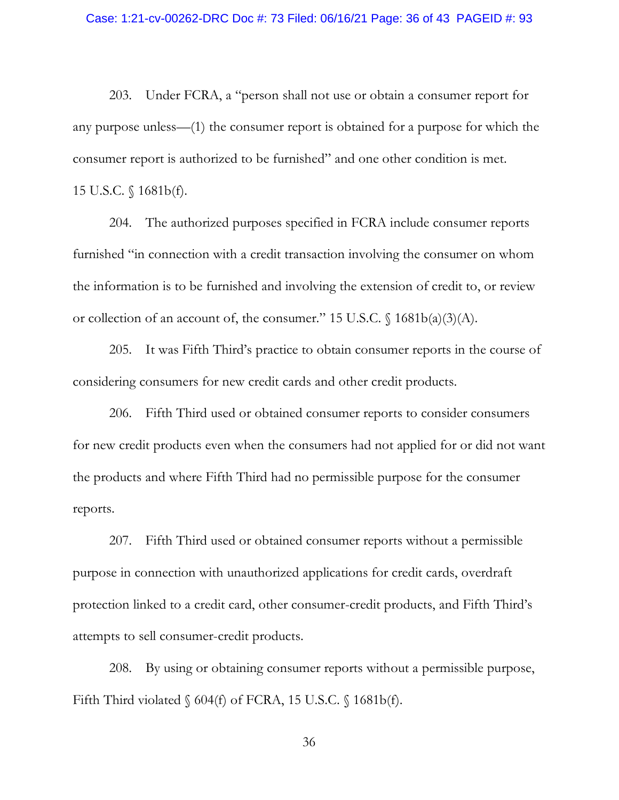203. Under FCRA, a "person shall not use or obtain a consumer report for any purpose unless—(1) the consumer report is obtained for a purpose for which the consumer report is authorized to be furnished" and one other condition is met. 15 U.S.C. § 1681b(f).

204. The authorized purposes specified in FCRA include consumer reports furnished "in connection with a credit transaction involving the consumer on whom the information is to be furnished and involving the extension of credit to, or review or collection of an account of, the consumer." 15 U.S.C. § 1681b(a)(3)(A).

205. It was Fifth Third's practice to obtain consumer reports in the course of considering consumers for new credit cards and other credit products.

206. Fifth Third used or obtained consumer reports to consider consumers for new credit products even when the consumers had not applied for or did not want the products and where Fifth Third had no permissible purpose for the consumer reports.

207. Fifth Third used or obtained consumer reports without a permissible purpose in connection with unauthorized applications for credit cards, overdraft protection linked to a credit card, other consumer-credit products, and Fifth Third's attempts to sell consumer-credit products.

208. By using or obtaining consumer reports without a permissible purpose, Fifth Third violated § 604(f) of FCRA, 15 U.S.C. § 1681b(f).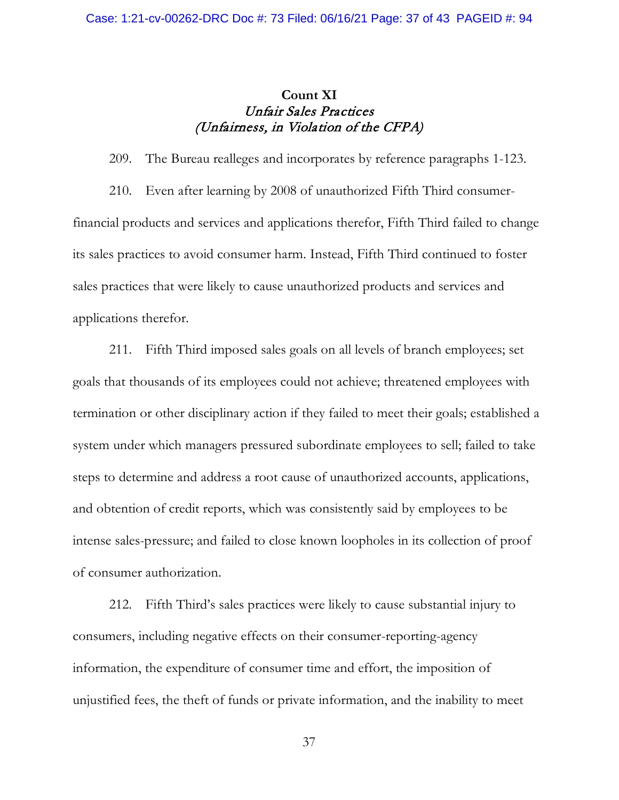# **Count XI** Unfair Sales Practices (Unfairness, in Violation of the CFPA)

209. The Bureau realleges and incorporates by reference paragraphs 1-123.

210. Even after learning by 2008 of unauthorized Fifth Third consumerfinancial products and services and applications therefor, Fifth Third failed to change its sales practices to avoid consumer harm. Instead, Fifth Third continued to foster sales practices that were likely to cause unauthorized products and services and applications therefor.

211. Fifth Third imposed sales goals on all levels of branch employees; set goals that thousands of its employees could not achieve; threatened employees with termination or other disciplinary action if they failed to meet their goals; established a system under which managers pressured subordinate employees to sell; failed to take steps to determine and address a root cause of unauthorized accounts, applications, and obtention of credit reports, which was consistently said by employees to be intense sales-pressure; and failed to close known loopholes in its collection of proof of consumer authorization.

212. Fifth Third's sales practices were likely to cause substantial injury to consumers, including negative effects on their consumer-reporting-agency information, the expenditure of consumer time and effort, the imposition of unjustified fees, the theft of funds or private information, and the inability to meet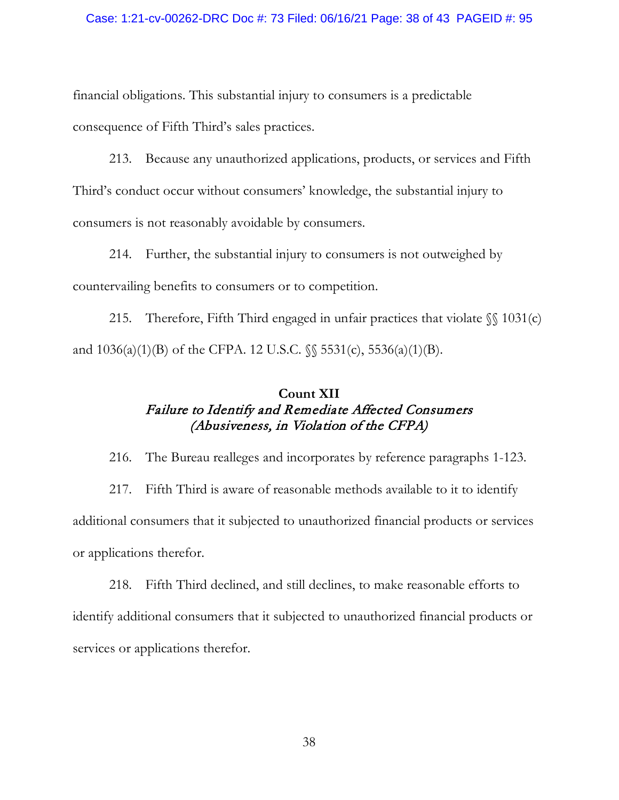### Case: 1:21-cv-00262-DRC Doc #: 73 Filed: 06/16/21 Page: 38 of 43 PAGEID #: 95

financial obligations. This substantial injury to consumers is a predictable consequence of Fifth Third's sales practices.

213. Because any unauthorized applications, products, or services and Fifth Third's conduct occur without consumers' knowledge, the substantial injury to consumers is not reasonably avoidable by consumers.

214. Further, the substantial injury to consumers is not outweighed by countervailing benefits to consumers or to competition.

215. Therefore, Fifth Third engaged in unfair practices that violate  $\mathcal{S}$  1031(c) and  $1036(a)(1)(B)$  of the CFPA. 12 U.S.C.  $\%$  5531(c), 5536(a)(1)(B).

# **Count XII** Failure to Identify and Remediate Affected Consumers (Abusiveness, in Violation of the CFPA)

216. The Bureau realleges and incorporates by reference paragraphs 1-123.

217. Fifth Third is aware of reasonable methods available to it to identify additional consumers that it subjected to unauthorized financial products or services or applications therefor.

218. Fifth Third declined, and still declines, to make reasonable efforts to identify additional consumers that it subjected to unauthorized financial products or services or applications therefor.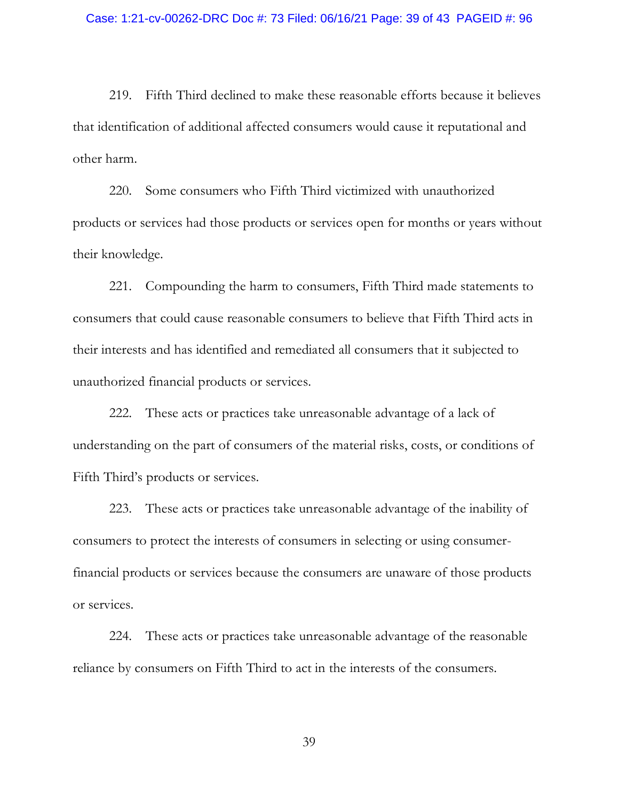219. Fifth Third declined to make these reasonable efforts because it believes that identification of additional affected consumers would cause it reputational and other harm.

220. Some consumers who Fifth Third victimized with unauthorized products or services had those products or services open for months or years without their knowledge.

221. Compounding the harm to consumers, Fifth Third made statements to consumers that could cause reasonable consumers to believe that Fifth Third acts in their interests and has identified and remediated all consumers that it subjected to unauthorized financial products or services.

222. These acts or practices take unreasonable advantage of a lack of understanding on the part of consumers of the material risks, costs, or conditions of Fifth Third's products or services.

223. These acts or practices take unreasonable advantage of the inability of consumers to protect the interests of consumers in selecting or using consumerfinancial products or services because the consumers are unaware of those products or services.

224. These acts or practices take unreasonable advantage of the reasonable reliance by consumers on Fifth Third to act in the interests of the consumers.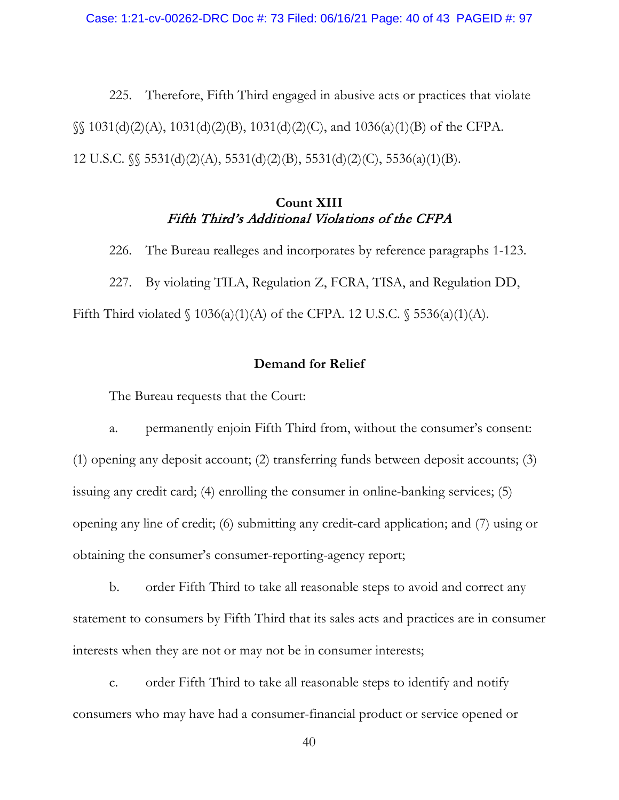225. Therefore, Fifth Third engaged in abusive acts or practices that violate  $\S$  1031(d)(2)(A), 1031(d)(2)(B), 1031(d)(2)(C), and 1036(a)(1)(B) of the CFPA. 12 U.S.C. §§ 5531(d)(2)(A), 5531(d)(2)(B), 5531(d)(2)(C), 5536(a)(1)(B).

# **Count XIII** Fifth Third's Additional Violations of the CFPA

226. The Bureau realleges and incorporates by reference paragraphs 1-123. 227. By violating TILA, Regulation Z, FCRA, TISA, and Regulation DD, Fifth Third violated  $\{(1036(a)(1)(A) \text{ of the CFPA. } 12 \text{ U.S.C. } \{(5536(a)(1)(A). \}$ 

## **Demand for Relief**

The Bureau requests that the Court:

a. permanently enjoin Fifth Third from, without the consumer's consent: (1) opening any deposit account; (2) transferring funds between deposit accounts; (3) issuing any credit card; (4) enrolling the consumer in online-banking services; (5) opening any line of credit; (6) submitting any credit-card application; and (7) using or obtaining the consumer's consumer-reporting-agency report;

b. order Fifth Third to take all reasonable steps to avoid and correct any statement to consumers by Fifth Third that its sales acts and practices are in consumer interests when they are not or may not be in consumer interests;

c. order Fifth Third to take all reasonable steps to identify and notify consumers who may have had a consumer-financial product or service opened or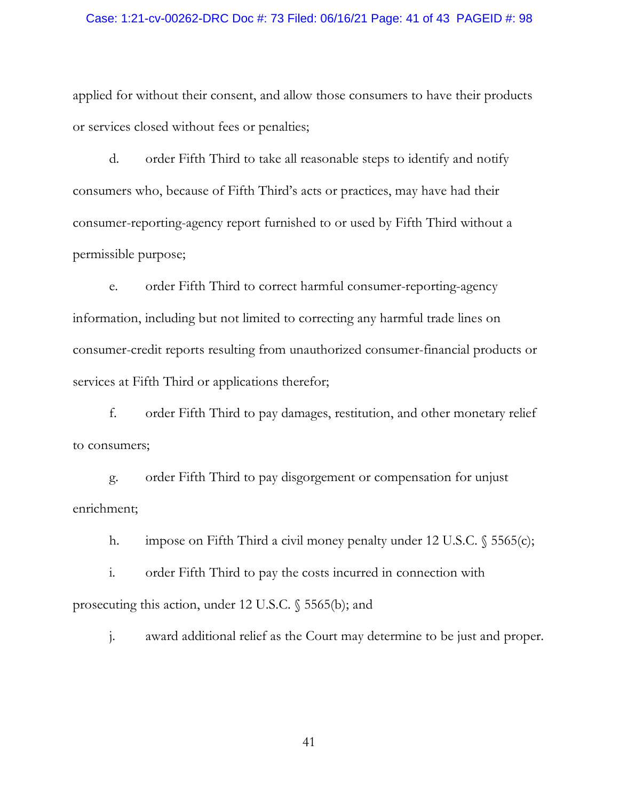### Case: 1:21-cv-00262-DRC Doc #: 73 Filed: 06/16/21 Page: 41 of 43 PAGEID #: 98

applied for without their consent, and allow those consumers to have their products or services closed without fees or penalties;

d. order Fifth Third to take all reasonable steps to identify and notify consumers who, because of Fifth Third's acts or practices, may have had their consumer-reporting-agency report furnished to or used by Fifth Third without a permissible purpose;

e. order Fifth Third to correct harmful consumer-reporting-agency information, including but not limited to correcting any harmful trade lines on consumer-credit reports resulting from unauthorized consumer-financial products or services at Fifth Third or applications therefor;

f. order Fifth Third to pay damages, restitution, and other monetary relief to consumers;

g. order Fifth Third to pay disgorgement or compensation for unjust enrichment;

h. impose on Fifth Third a civil money penalty under 12 U.S.C. § 5565(c);

i. order Fifth Third to pay the costs incurred in connection with prosecuting this action, under 12 U.S.C. § 5565(b); and

j. award additional relief as the Court may determine to be just and proper.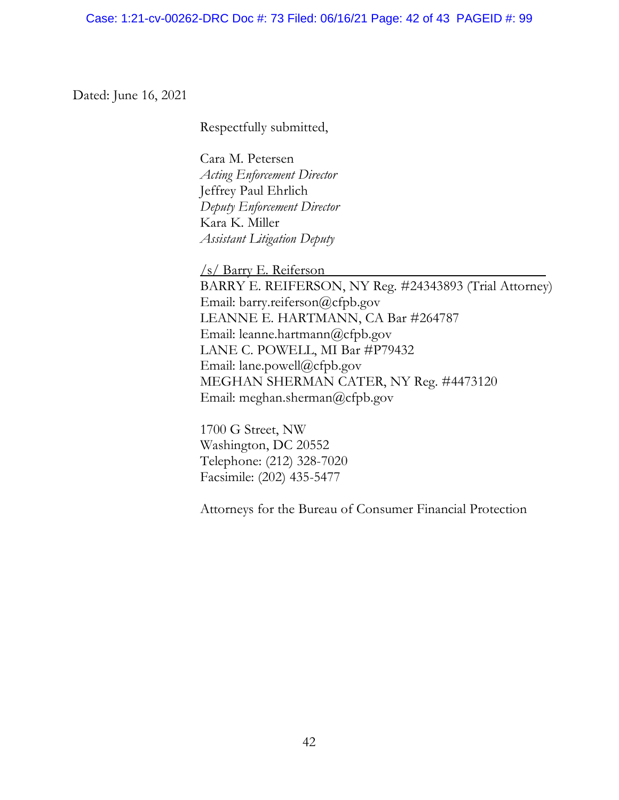Dated: June 16, 2021

Respectfully submitted,

Cara M. Petersen *Acting Enforcement Director* Jeffrey Paul Ehrlich *Deputy Enforcement Director* Kara K. Miller *Assistant Litigation Deputy*

/s/ Barry E. Reiferson BARRY E. REIFERSON, NY Reg. #24343893 (Trial Attorney) Email: barry.reiferson@cfpb.gov LEANNE E. HARTMANN, CA Bar #264787 Email: leanne.hartmann@cfpb.gov LANE C. POWELL, MI Bar #P79432 Email: lane.powell@cfpb.gov MEGHAN SHERMAN CATER, NY Reg. #4473120 Email: meghan.sherman@cfpb.gov

1700 G Street, NW Washington, DC 20552 Telephone: (212) 328-7020 Facsimile: (202) 435-5477

Attorneys for the Bureau of Consumer Financial Protection